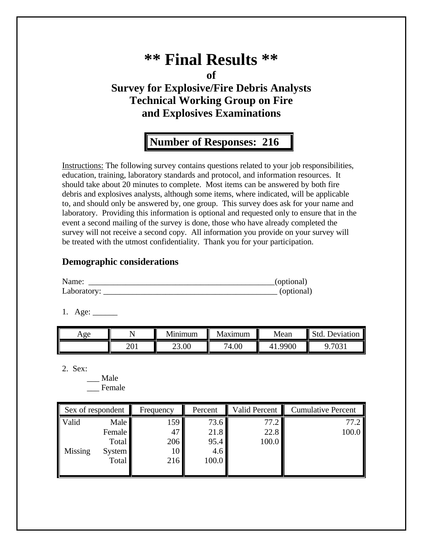# **\*\* Final Results \*\* of Survey for Explosive/Fire Debris Analysts Technical Working Group on Fire and Explosives Examinations**

## **Number of Responses: 216**

Instructions: The following survey contains questions related to your job responsibilities, education, training, laboratory standards and protocol, and information resources. It should take about 20 minutes to complete. Most items can be answered by both fire debris and explosives analysts, although some items, where indicated, will be applicable to, and should only be answered by, one group. This survey does ask for your name and laboratory. Providing this information is optional and requested only to ensure that in the event a second mailing of the survey is done, those who have already completed the survey will not receive a second copy. All information you provide on your survey will be treated with the utmost confidentiality. Thank you for your participation.

### **Demographic considerations**

| Name:       | (optional) |
|-------------|------------|
| Laboratory: | (optional) |

1. Age: \_\_\_\_\_\_

| Age |     | $\mathbf{A}$<br>Mınımum | axımum                        | Mean       | Sta<br><b>Deviation</b> |
|-----|-----|-------------------------|-------------------------------|------------|-------------------------|
|     | 201 | 23.00<br>ີ              | $\Omega$<br>74.0 <sub>U</sub> | 9900<br>41 | 702<br>103 <sub>1</sub> |

2. Sex:

\_\_\_ Male \_\_\_ Female

| Sex of respondent |        | Frequency | Percent | Valid Percent | <b>Cumulative Percent</b> |
|-------------------|--------|-----------|---------|---------------|---------------------------|
| Valid             | Male   | 159       | 73.6    | 77.2          | 77.2                      |
|                   | Female | 47        | 21.8    | 22.8          | 100.0                     |
|                   | Total  | 206       | 95.4    | 100.0         |                           |
| Missing           | System | 10        | 4.6     |               |                           |
|                   | Total  | 216       | 100.0   |               |                           |
|                   |        |           |         |               |                           |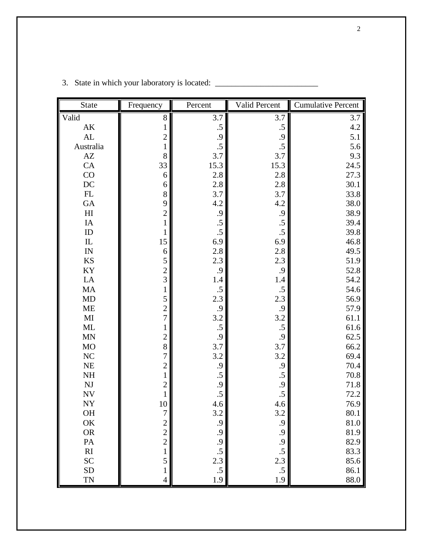| <b>State</b>               | Frequency                                  | Percent | Valid Percent | <b>Cumulative Percent</b> |
|----------------------------|--------------------------------------------|---------|---------------|---------------------------|
| Valid                      | 8                                          | 3.7     | 3.7           | 3.7                       |
| $\mathbf{A}\mathbf{K}$     | $\mathbf{1}$                               | .5      | .5            | 4.2                       |
| AL                         | $\overline{c}$                             | .9      | .9            | 5.1                       |
| Australia                  | $\mathbf{1}$                               | .5      | .5            | 5.6                       |
| $\mathbf{A}\mathbf{Z}$     | 8                                          | 3.7     | 3.7           | 9.3                       |
| ${\rm CA}$                 | 33                                         | 15.3    | 15.3          | 24.5                      |
| CO                         | 6                                          | 2.8     | 2.8           | 27.3                      |
| $\rm DC$                   | 6                                          | 2.8     | 2.8           | 30.1                      |
| $\mathop{\rm FL}\nolimits$ | 8                                          | 3.7     | 3.7           | 33.8                      |
| ${\rm GA}$                 | 9                                          | 4.2     | 4.2           | 38.0                      |
| $\mathop{\rm HI}\nolimits$ | $\overline{c}$                             | .9      | .9            | 38.9                      |
| $\rm IA$                   | $\mathbf{1}$                               | .5      | .5            | 39.4                      |
| ID                         | $\mathbf{1}$                               | .5      | .5            | 39.8                      |
| ${\rm IL}$                 | 15                                         | 6.9     | 6.9           | 46.8                      |
| IN                         | 6                                          | 2.8     | 2.8           | 49.5                      |
| <b>KS</b>                  | 5                                          | 2.3     | 2.3           | 51.9                      |
| $\mathbf{K}\mathbf{Y}$     | $\frac{2}{3}$                              | .9      | .9            | 52.8                      |
| ${\rm LA}$                 |                                            | 1.4     | 1.4           | 54.2                      |
| $\rm MA$                   | $\mathbf{1}$                               | .5      | .5            | 54.6                      |
| <b>MD</b>                  | 5                                          | 2.3     | 2.3           | 56.9                      |
| <b>ME</b>                  | $\overline{c}$                             | .9      | .9            | 57.9                      |
| $\mathbf{M}\mathbf{I}$     | $\overline{7}$                             | 3.2     | 3.2           | 61.1                      |
| ML                         | $\mathbf{1}$                               | .5      | .5            | 61.6                      |
| <b>MN</b>                  | $\overline{c}$                             | .9      | .9            | 62.5                      |
| $_{\rm MO}$                | 8                                          | 3.7     | 3.7           | 66.2                      |
| $\rm NC$                   | $\overline{7}$                             | 3.2     | 3.2           | 69.4                      |
| NE                         | $\overline{c}$                             | .9      | .9            | 70.4                      |
| $\rm NH$                   | $\mathbf 1$                                | .5      | .5            | 70.8                      |
| $\mathbf{N}\mathbf{J}$     | $\overline{c}$                             | .9      | .9            | $71.8\,$                  |
| $\ensuremath{\text{NV}}$   | $\mathbf{1}$                               | .5      | .5            | 72.2                      |
| $\ensuremath{\text{NY}}$   | 10                                         | 4.6     | 4.6           | 76.9                      |
| <b>OH</b>                  | 7                                          | 3.2     | 3.2           | 80.1                      |
| OK                         |                                            | .9      | .9            | 81.0                      |
| ${\sf OR}$                 | $\begin{array}{c} 2 \\ 2 \\ 2 \end{array}$ | .9      | .9            | 81.9                      |
| PA                         |                                            | .9      | .9            | 82.9                      |
| $\mathbf{R}\mathbf{I}$     | $\mathbf{1}$                               | $.5\,$  | $\cdot$ 5     | 83.3                      |
| <b>SC</b>                  | 5                                          | 2.3     | 2.3           | 85.6                      |
| ${\rm SD}$                 | $\mathbf{1}$                               | .5      | $.5\,$        | 86.1                      |
| <b>TN</b>                  | $\overline{4}$                             | 1.9     | 1.9           | 88.0                      |

## 3. State in which your laboratory is located: \_\_\_\_\_\_\_\_\_\_\_\_\_\_\_\_\_\_\_\_\_\_\_\_\_\_\_\_\_\_\_\_\_\_\_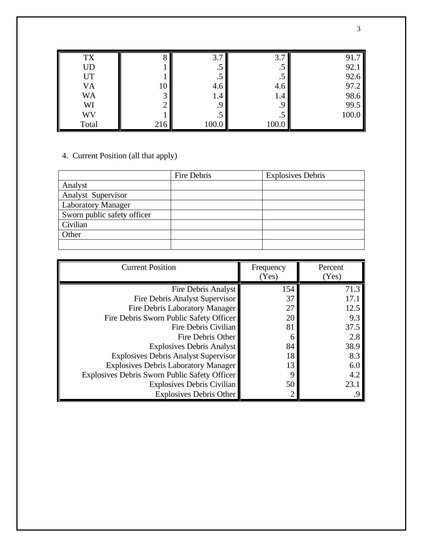| <b>TX</b> |     | 3.    | 3.7   | 91.7  |
|-----------|-----|-------|-------|-------|
| <b>UD</b> |     | د.    | . J   | 92.1  |
| <b>UT</b> |     | .5    | .5    | 92.6  |
| <b>VA</b> | 10  | 4.6   | 4.6   | 97.2  |
| <b>WA</b> | ⌒   | 1.4   | 1.4   | 98.6  |
| WI        |     | .9    | .9    | 99.5  |
| WV        |     | د.    | .     | 100.0 |
| Total     | 216 | 100.0 | 100.0 |       |

## 4. Current Position (all that apply)

|                             | Fire Debris | <b>Explosives Debris</b> |
|-----------------------------|-------------|--------------------------|
| Analyst                     |             |                          |
| Analyst Supervisor          |             |                          |
| <b>Laboratory Manager</b>   |             |                          |
| Sworn public safety officer |             |                          |
| Civilian                    |             |                          |
| Other                       |             |                          |
|                             |             |                          |

| <b>Current Position</b>                       | Frequency<br>(Yes) | Percent<br>(Yes) |
|-----------------------------------------------|--------------------|------------------|
| Fire Debris Analyst                           | 154                | 71.3             |
| Fire Debris Analyst Supervisor                | 37                 | 17.1             |
| Fire Debris Laboratory Manager                | 27                 | 12.5             |
| Fire Debris Sworn Public Safety Officer       | 20                 | 9.3              |
| Fire Debris Civilian                          | 81                 | 37.5             |
| Fire Debris Other                             | h                  | 2.8              |
| <b>Explosives Debris Analyst</b>              | 84                 | 38.9             |
| <b>Explosives Debris Analyst Supervisor</b>   | 18                 | 8.3              |
| <b>Explosives Debris Laboratory Manager</b>   | 13                 | 6.0              |
| Explosives Debris Sworn Public Safety Officer | 9                  | 4.2              |
| <b>Explosives Debris Civilian</b>             | 50                 | 23.1             |
| <b>Explosives Debris Other</b>                |                    | .9               |

3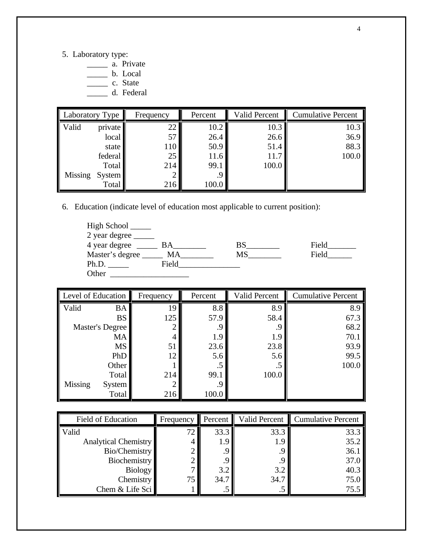- 5. Laboratory type:
	- \_\_\_\_\_ a. Private
	- \_\_\_\_\_ b. Local
	- \_\_\_\_\_ c. State
	- \_\_\_\_\_ d. Federal

| Laboratory Type |               | Frequency | Percent | Valid Percent | <b>Cumulative Percent</b> |
|-----------------|---------------|-----------|---------|---------------|---------------------------|
| Valid           | private       | 22        | 10.2    | 10.3          | 10.3                      |
|                 | local         | 57        | 26.4    | 26.6          | 36.9                      |
|                 | state         | 110       | 50.9    | 51.4          | 88.3                      |
|                 | federal       | 25        | 11.6    | 11.7          | 100.0                     |
|                 | Total         | 214       | 99.1    | 100.0         |                           |
| Missing         | <b>System</b> |           |         |               |                           |
|                 | Total         | 216       | 100.0   |               |                           |

6. Education (indicate level of education most applicable to current position):



| Level of Education |                        | Frequency | Percent | <b>Valid Percent</b> | <b>Cumulative Percent</b> |
|--------------------|------------------------|-----------|---------|----------------------|---------------------------|
| Valid              | <b>BA</b>              | 19        | 8.8     | 8.9                  | 8.9                       |
|                    | <b>BS</b>              | 125       | 57.9    | 58.4                 | 67.3                      |
|                    | <b>Master's Degree</b> |           | 9.      | .9                   | 68.2                      |
|                    | MA                     | 4         | 1.9     | 1.9                  | 70.1                      |
|                    | <b>MS</b>              | 51        | 23.6    | 23.8                 | 93.9                      |
|                    | PhD                    | 12        | 5.6     | 5.6                  | 99.5                      |
|                    | Other                  |           | د.      | .5                   | 100.0                     |
|                    | Total                  | 214       | 99.1    | 100.0                |                           |
| Missing            | System                 |           | 9.      |                      |                           |
|                    | Total                  | 216       | 100.0   |                      |                           |

| <b>Field of Education</b> | Frequency | Percent | <b>Valid Percent</b> | <b>Cumulative Percent</b> |
|---------------------------|-----------|---------|----------------------|---------------------------|
| Valid                     | 72        | 33.3    | 33.3                 | 33.3                      |
| Analytical Chemistry      |           | 1.9     | 1.9                  | 35.2                      |
| Bio/Chemistry             |           |         |                      | 36.1                      |
| <b>Biochemistry</b>       |           |         |                      | 37.0                      |
| <b>Biology</b>            |           | 3.2     | 3.2                  | 40.3                      |
| <b>Chemistry</b>          | 75        | 34.7    | 34.7                 | 75.0                      |
| Chem & Life Sci           |           | . J     | .                    | 75.5                      |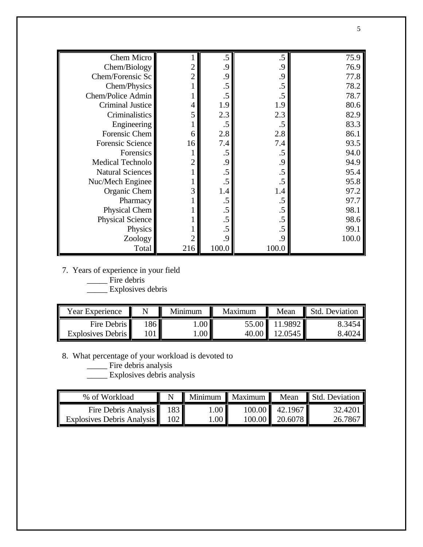| Chem Micro              |                | .5     | .5         | 75.9  |
|-------------------------|----------------|--------|------------|-------|
| Chem/Biology            |                | .9     | $\cdot$ .9 | 76.9  |
| Chem/Forensic Sc        | $\overline{2}$ | .9     | .9         | 77.8  |
| Chem/Physics            |                | .5     | .5         | 78.2  |
| Chem/Police Admin       |                | $.5\,$ | .5         | 78.7  |
| <b>Criminal Justice</b> |                | 1.9    | 1.9        | 80.6  |
| Criminalistics          | 5              | 2.3    | 2.3        | 82.9  |
| Engineering             |                | .5     | .5         | 83.3  |
| Forensic Chem           | 6              | 2.8    | 2.8        | 86.1  |
| Forensic Science        | 16             | 7.4    | 7.4        | 93.5  |
| Forensics               |                | .5     | .5         | 94.0  |
| <b>Medical Technolo</b> | $\overline{2}$ | .9     | .9         | 94.9  |
| <b>Natural Sciences</b> |                | .5     | .5         | 95.4  |
| Nuc/Mech Enginee        |                |        | .5         | 95.8  |
| Organic Chem            | 3              | 1.4    | 1.4        | 97.2  |
| Pharmacy                |                | .5     | .5         | 97.7  |
| Physical Chem           |                | .5     | .5         | 98.1  |
| <b>Physical Science</b> |                | .5     | .5         | 98.6  |
| Physics                 |                |        | .5         | 99.1  |
| Zoology                 |                | 9.     | .9         | 100.0 |
| Total                   | 216            | 100.0  | 100.0      |       |

7. Years of experience in your field

\_\_\_\_\_ Fire debris

\_\_\_\_\_ Explosives debris

| Year Experience   |     | Minimum | Maximum | Mean      | <b>Std</b><br>. Deviation |
|-------------------|-----|---------|---------|-----------|---------------------------|
| Fire Debris       | 186 | $.00\,$ | 55.00   | 11.9892 ∎ | 8.3454                    |
| Explosives Debris |     | .00.    | 40.00   | 2.0545    | 8.4024                    |

8. What percentage of your workload is devoted to

\_\_\_\_\_ Fire debris analysis

\_\_\_\_\_ Explosives debris analysis

| % of Workload              |     | Minimum          | $\blacksquare$ Maximum $\blacksquare$ | Mean           | Std. Deviation |
|----------------------------|-----|------------------|---------------------------------------|----------------|----------------|
| Fire Debris Analysis   183 |     | $1.00$ $\vert$   |                                       | 100.00 42.1967 | 32.4201        |
| Explosives Debris Analysis | 102 | .00 <sub>1</sub> |                                       | 100.00 20.6078 | 26.7867        |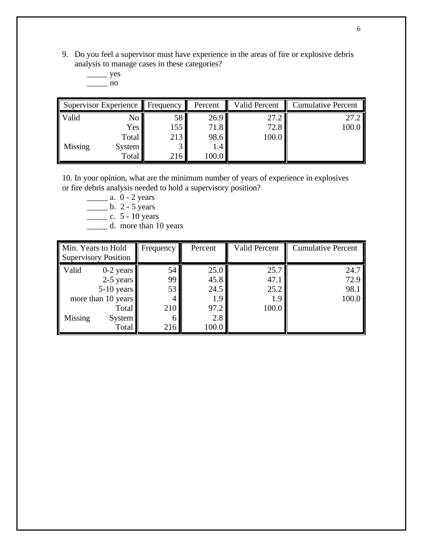9. Do you feel a supervisor must have experience in the areas of fire or explosive debris analysis to manage cases in these categories?

 $\frac{\ }{\ }$  yes  $\frac{1}{\sqrt{1-\frac{1}{2}}}\n$ 

| Supervisor Experience Frequency |        |       | Percent | Valid Percent | <b>Cumulative Percent</b> |
|---------------------------------|--------|-------|---------|---------------|---------------------------|
| <b>Valid</b>                    | No     | 58    | 26.9    | 27.2          | 27.2                      |
|                                 | Yes    | $155$ | 71.8    | 72.8          | 100.0                     |
|                                 | Total  | 213   | 98.6    | 100.0         |                           |
| Missing                         | System |       | 1.4     |               |                           |
|                                 | Total  | 216   | 100.0   |               |                           |

10. In your opinion, what are the minimum number of years of experience in explosives or fire debris analysis needed to hold a supervisory position?

 $\frac{1}{2}$  a. 0 - 2 years

 $\frac{1}{2}$  b. 2 - 5 years

 $\frac{1}{2}$  c. 5 - 10 years

<u>\_\_\_\_</u> d. more than 10 years

| Min. Years to Hold          |               | Frequency | Percent | Valid Percent | <b>Cumulative Percent</b> |
|-----------------------------|---------------|-----------|---------|---------------|---------------------------|
| <b>Supervisory Position</b> |               |           |         |               |                           |
| Valid                       | $0-2$ years   | 54        | 25.0    | 25.7          | 24.7                      |
|                             | $2-5$ years   | 99        | 45.8    | 47.1          | 72.9                      |
|                             | $5-10$ years  | 53        | 24.5    | 25.2          | 98.1                      |
| more than 10 years          |               |           | 1.9     | 1.9           | 100.0                     |
|                             | Total         | 210       | 97.2    | 100.0         |                           |
| Missing                     | <b>System</b> | 6         | 2.8     |               |                           |
|                             | Total         | 216       | 100.0   |               |                           |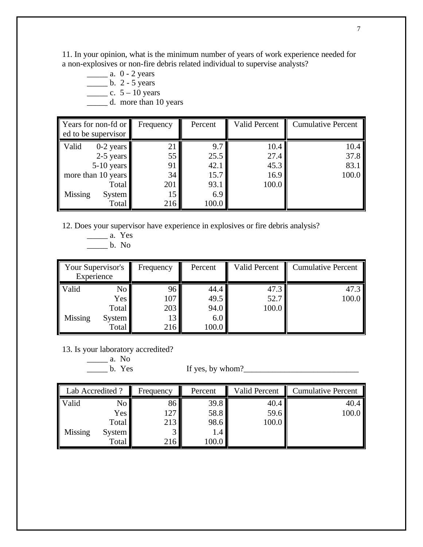11. In your opinion, what is the minimum number of years of work experience needed for a non-explosives or non-fire debris related individual to supervise analysts?

 $\frac{1}{2}$  a. 0 - 2 years  $\frac{b}{2}$  - 5 years  $\frac{\ }{2}$  c. 5 – 10 years \_\_\_\_\_ d. more than 10 years

| Years for non-fd or  | Frequency | Percent | Valid Percent | <b>Cumulative Percent</b> |
|----------------------|-----------|---------|---------------|---------------------------|
| ed to be supervisor  |           |         |               |                           |
| Valid<br>$0-2$ years | 21        | 9.7     | 10.4          | 10.4                      |
| 2-5 years            | 55        | 25.5    | 27.4          | 37.8                      |
| $5-10$ years         | 91        | 42.1    | 45.3          | 83.1                      |
| more than 10 years   | 34        | 15.7    | 16.9          | 100.0                     |
| Total                | 201       | 93.1    | 100.0         |                           |
| Missing<br>System    | 15        | 6.9     |               |                           |
| Total                | 216       | 100.0   |               |                           |

12. Does your supervisor have experience in explosives or fire debris analysis?

\_\_\_\_\_ a. Yes

\_\_\_\_\_ b. No

| Your Supervisor's<br>Experience |          | Frequency | Percent          | <b>Valid Percent</b> | <b>Cumulative Percent</b> |
|---------------------------------|----------|-----------|------------------|----------------------|---------------------------|
| Valid                           | $\rm No$ | 96        | 44.4             | 47.3                 | 47.3                      |
|                                 | Yes      | 107       | 49.5             | 52.7                 | 100.0                     |
|                                 | Total    | 203       | 94.0             | 100.0                |                           |
| Missing                         | System   | 13        | 6.0 <sub>1</sub> |                      |                           |
|                                 | Total    | 216       | 100.0            |                      |                           |

13. Is your laboratory accredited?

 $\frac{\phantom{0}}{\phantom{0}}$  a. No<br>b. Yes

If yes, by whom? $\frac{2}{\sqrt{2}}$ 

| Lab Accredited? |        | Frequency | Percent | Valid Percent | <b>Cumulative Percent</b> |
|-----------------|--------|-----------|---------|---------------|---------------------------|
| Valid           | No     | 86        | 39.8    | 40.4          | 40.4                      |
|                 | Yes    | 127       | 58.8    | 59.6          | 100.0                     |
|                 | Total  | 213       | 98.6    | 100.0         |                           |
| Missing         | System | っ         | 1.4     |               |                           |
|                 | Total  | 216       | 100.0   |               |                           |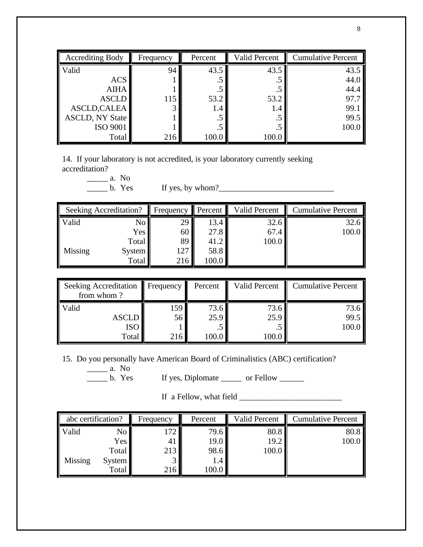| <b>Accrediting Body</b> | Frequency | Percent | <b>Valid Percent</b> | <b>Cumulative Percent</b> |
|-------------------------|-----------|---------|----------------------|---------------------------|
| Valid                   | 94        | 43.5    | 43.5                 | 43.5                      |
| <b>ACS</b>              |           | د.      | ر.,                  | 44.0                      |
| <b>AIHA</b>             |           |         |                      | 44.4                      |
| <b>ASCLD</b>            | 115       | 53.2    | 53.2                 | 97.7                      |
| <b>ASCLD, CALEA</b>     |           | 1.4     | 1.4                  | 99.1                      |
| <b>ASCLD, NY State</b>  |           | .5      | د.                   | 99.5                      |
| <b>ISO 9001</b>         |           |         |                      | 100.0                     |
| Total                   | 216       | 100.0   | 100.0                |                           |

14. If your laboratory is not accredited, is your laboratory currently seeking accreditation?

 $\frac{\phantom{aaaa}}{\phantom{aaaa}}$  a. No<br>b. Yes

If yes, by whom? $\frac{2}{\sqrt{2}}$ 

| Seeking Accreditation? |               | Frequency       | Percent | <b>Valid Percent</b> | <b>Cumulative Percent</b> |
|------------------------|---------------|-----------------|---------|----------------------|---------------------------|
| Valid                  | No            | 29 l            | 13.4    | 32.6                 | 32.6                      |
|                        | Yes           | 60 <sup>1</sup> | 27.8    | 67.4                 | 100.0                     |
|                        | Total         | 89              | 41.2    | 100.0                |                           |
| Missing                | <b>System</b> | 127             | 58.8    |                      |                           |
|                        | Total         | 216             | 100.0   |                      |                           |

| Seeking Accreditation Frequency<br>from whom? |     | Percent | Valid Percent | <b>Cumulative Percent</b> |
|-----------------------------------------------|-----|---------|---------------|---------------------------|
| Valid                                         | 159 | 73.6    | 73.6          | 73.6                      |
| <b>ASCLD</b>                                  | 56  | 25.9    | 25.9          | 99.5                      |
| <b>ISO</b>                                    |     |         | . J           | 100.0                     |
| Total                                         | 216 | 100.0   | 100.0         |                           |

15. Do you personally have American Board of Criminalistics (ABC) certification?

 $\frac{\phantom{0}}{\phantom{0}}$  a. No<br>b. Yes

If yes, Diplomate \_\_\_\_\_ or Fellow \_\_\_\_\_

If a Fellow, what field \_\_\_\_\_\_\_\_\_\_\_\_\_\_\_\_\_\_\_\_\_\_\_\_\_

| abc certification? |        | Frequency | Percent | Valid Percent | <b>Cumulative Percent</b> |
|--------------------|--------|-----------|---------|---------------|---------------------------|
| Valid              | No     | 72        | 79.6    | 80.8          | 80.8                      |
|                    | Yes    | 41        | 19.0    | 19.2          | 100.0                     |
|                    | Total  | 213       | 98.6    | 100.0         |                           |
| Missing            | System |           | 1.4     |               |                           |
|                    | Total  | 216       | 100.0   |               |                           |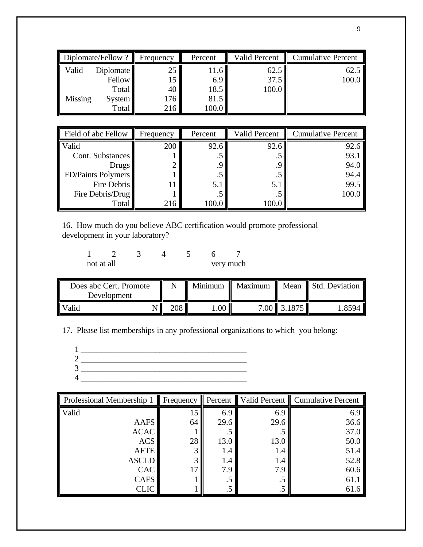|         | Diplomate/Fellow? | Frequency | Percent | Valid Percent | Cumulative Percent |
|---------|-------------------|-----------|---------|---------------|--------------------|
| Valid   | Diplomate         | 25        | 11.6    | 62.5          | 62.5               |
|         | <b>Fellow</b>     | 15        | 6.9     | 37.5          | 100.0              |
|         | Total             | 40        | 18.5    | 100.0         |                    |
| Missing | System            | 176       | 81.5    |               |                    |
|         | Total             | 216       | 100.0   |               |                    |

| Field of abc Fellow | Frequency | Percent | Valid Percent | <b>Cumulative Percent</b> |
|---------------------|-----------|---------|---------------|---------------------------|
| Valid               | 200       | 92.6    | 92.6          | 92.6                      |
| Cont. Substances    |           |         | $\ddotsc$     | 93.1                      |
| <b>Drugs</b>        |           | 9       |               | 94.0                      |
| FD/Paints Polymers  |           |         |               | 94.4                      |
| Fire Debris         |           | 5.1     | 5.1           | 99.5                      |
| Fire Debris/Drug    |           |         |               | 100.0                     |
| Total               | 216       | 100.0   | 100.          |                           |

16. How much do you believe ABC certification would promote professional development in your laboratory?

1 2 3 4 5 6 7 not at all very much

| Does abc Cert. Promote<br>Development |     |         |             | Minimum Maximum Mean Std. Deviation |
|---------------------------------------|-----|---------|-------------|-------------------------------------|
| Valid                                 | າດວ | $.00$ / | 7.00 3.1875 | 8594                                |

17. Please list memberships in any professional organizations to which you belong:

- 1 \_\_\_\_\_\_\_\_\_\_\_\_\_\_\_\_\_\_\_\_\_\_\_\_\_\_\_\_\_\_\_\_\_\_\_\_\_\_\_\_
- 2  $\frac{1}{2}$   $\frac{1}{2}$   $\frac{1}{2}$   $\frac{1}{2}$   $\frac{1}{2}$   $\frac{1}{2}$   $\frac{1}{2}$   $\frac{1}{2}$   $\frac{1}{2}$   $\frac{1}{2}$   $\frac{1}{2}$   $\frac{1}{2}$   $\frac{1}{2}$   $\frac{1}{2}$   $\frac{1}{2}$   $\frac{1}{2}$   $\frac{1}{2}$   $\frac{1}{2}$   $\frac{1}{2}$   $\frac{1}{2}$   $\frac{1}{2}$   $\frac{1}{2}$
- 3 \_\_\_\_\_\_\_\_\_\_\_\_\_\_\_\_\_\_\_\_\_\_\_\_\_\_\_\_\_\_\_\_\_\_\_\_\_\_\_\_
- 4 \_\_\_\_\_\_\_\_\_\_\_\_\_\_\_\_\_\_\_\_\_\_\_\_\_\_\_\_\_\_\_\_\_\_\_\_\_\_\_\_

| Professional Membership 1 | Frequency | Percent | Valid Percent | <b>Cumulative Percent</b> |
|---------------------------|-----------|---------|---------------|---------------------------|
| Valid                     | 15        | 6.9     | 6.9           | 6.9                       |
| <b>AAFS</b>               | 64        | 29.6    | 29.6          | 36.6                      |
| <b>ACAC</b>               |           |         | .J            | 37.0                      |
| <b>ACS</b>                | 28        | 13.0    | 13.0          | 50.0                      |
| <b>AFTE</b>               |           | 1.4     | 1.4           | 51.4                      |
| <b>ASCLD</b>              |           | 1.4     | 1.4           | 52.8                      |
| <b>CAC</b>                |           | 7.9     | 7.9           | 60.6                      |
| <b>CAFS</b>               |           | .5      | د.            | 61.                       |
| <b>CLIC</b>               |           | .5      | د.            | 61.6                      |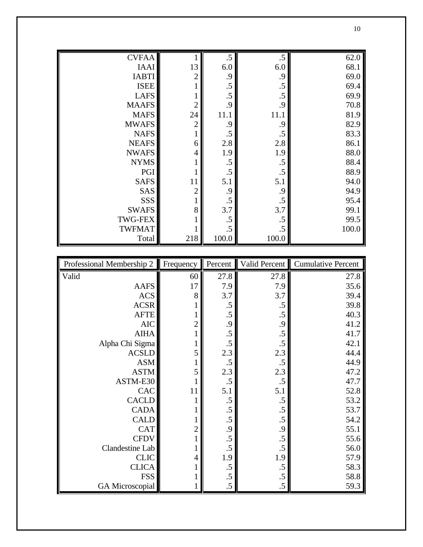| <b>CVFAA</b>   |                | .5    | .5    | 62.0  |
|----------------|----------------|-------|-------|-------|
| <b>IAAI</b>    | 13             | 6.0   | 6.0   | 68.1  |
| <b>IABTI</b>   | $\overline{2}$ | .9    | .9    | 69.0  |
| <b>ISEE</b>    |                | .5    | .5    | 69.4  |
| <b>LAFS</b>    |                | .5    | .5    | 69.9  |
| <b>MAAFS</b>   | $\overline{c}$ | .9    | .9    | 70.8  |
| <b>MAFS</b>    | 24             | 11.1  | 11.1  | 81.9  |
| <b>MWAFS</b>   | $\overline{2}$ | .9    | .9    | 82.9  |
| <b>NAFS</b>    | $\mathbf{1}$   | .5    | .5    | 83.3  |
| <b>NEAFS</b>   | 6              | 2.8   | 2.8   | 86.1  |
| <b>NWAFS</b>   | $\overline{4}$ | 1.9   | 1.9   | 88.0  |
| <b>NYMS</b>    | $\mathbf{1}$   | .5    | .5    | 88.4  |
| PGI            |                | .5    | .5    | 88.9  |
| <b>SAFS</b>    | 11             | 5.1   | 5.1   | 94.0  |
| SAS            | $\overline{2}$ | .9    | .9    | 94.9  |
| SSS            | 1              | .5    | .5    | 95.4  |
| <b>SWAFS</b>   | 8              | 3.7   | 3.7   | 99.1  |
| <b>TWG-FEX</b> |                | .5    | .5    | 99.5  |
| <b>TWFMAT</b>  |                | .5    | .5    | 100.0 |
| Total          | 218            | 100.0 | 100.0 |       |

| Professional Membership 2 | Frequency      | Percent | Valid Percent | <b>Cumulative Percent</b> |
|---------------------------|----------------|---------|---------------|---------------------------|
| Valid                     | 60             | 27.8    | 27.8          | 27.8                      |
| <b>AAFS</b>               | 17             | 7.9     | 7.9           | 35.6                      |
| <b>ACS</b>                | 8              | 3.7     | 3.7           | 39.4                      |
| <b>ACSR</b>               |                | .5      | .5            | 39.8                      |
| <b>AFTE</b>               |                | .5      | .5            | 40.3                      |
| <b>AIC</b>                | $\overline{2}$ | .9      | .9            | 41.2                      |
| <b>AIHA</b>               |                | .5      | .5            | 41.7                      |
| Alpha Chi Sigma           |                | .5      | .5            | 42.1                      |
| <b>ACSLD</b>              | 5              | 2.3     | 2.3           | 44.4                      |
| <b>ASM</b>                |                | .5      | .5            | 44.9                      |
| <b>ASTM</b>               | 5              | 2.3     | 2.3           | 47.2                      |
| ASTM-E30                  |                | .5      | .5            | 47.7                      |
| CAC                       | 11             | 5.1     | 5.1           | 52.8                      |
| <b>CACLD</b>              |                | .5      | .5            | 53.2                      |
| <b>CADA</b>               |                | .5      | .5            | 53.7                      |
| <b>CALD</b>               |                | .5      | .5            | 54.2                      |
| <b>CAT</b>                | $\overline{2}$ | .9      | .9            | 55.1                      |
| <b>CFDV</b>               |                | .5      | .5            | 55.6                      |
| Clandestine Lab           |                | .5      | .5            | 56.0                      |
| <b>CLIC</b>               | 4              | 1.9     | 1.9           | 57.9                      |
| <b>CLICA</b>              |                | .5      | .5            | 58.3                      |
| <b>FSS</b>                |                | .5      | .5            | 58.8                      |
| GA Microscopial           |                | .5      | .5            | 59.3                      |

10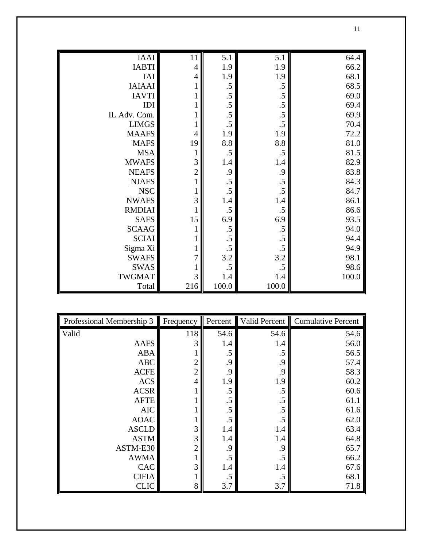| <b>IAAI</b>   | 11             | 5.1       | 5.1   | 64.4  |
|---------------|----------------|-----------|-------|-------|
| <b>IABTI</b>  | $\overline{4}$ | 1.9       | 1.9   | 66.2  |
| <b>IAI</b>    | $\overline{4}$ | 1.9       | 1.9   | 68.1  |
| <b>IAIAAI</b> |                | .5        | .5    | 68.5  |
| <b>IAVTI</b>  |                | .5        | .5    | 69.0  |
| IDI           |                | .5        | .5    | 69.4  |
| IL Adv. Com.  |                | .5        | .5    | 69.9  |
| <b>LIMGS</b>  | 1              | .5        | .5    | 70.4  |
| <b>MAAFS</b>  | $\overline{4}$ | 1.9       | 1.9   | 72.2  |
| <b>MAFS</b>   | 19             | 8.8       | 8.8   | 81.0  |
| <b>MSA</b>    |                | .5        | .5    | 81.5  |
| <b>MWAFS</b>  | 3              | 1.4       | 1.4   | 82.9  |
| <b>NEAFS</b>  | $\overline{c}$ | $\cdot$ 9 | .9    | 83.8  |
| <b>NJAFS</b>  | $\mathbf{1}$   | .5        | .5    | 84.3  |
| <b>NSC</b>    | 1              | .5        | .5    | 84.7  |
| <b>NWAFS</b>  | 3              | 1.4       | 1.4   | 86.1  |
| <b>RMDIAI</b> |                | .5        | .5    | 86.6  |
| <b>SAFS</b>   | 15             | 6.9       | 6.9   | 93.5  |
| <b>SCAAG</b>  |                | .5        | .5    | 94.0  |
| <b>SCIAI</b>  |                | .5        | .5    | 94.4  |
| Sigma Xi      |                | .5        | .5    | 94.9  |
| <b>SWAFS</b>  | 7              | 3.2       | 3.2   | 98.1  |
| <b>SWAS</b>   | $\mathbf{1}$   | $.5\,$    | .5    | 98.6  |
| <b>TWGMAT</b> | 3              | 1.4       | 1.4   | 100.0 |
| Total         | 216            | 100.0     | 100.0 |       |

| Professional Membership 3 | Frequency      | Percent | Valid Percent | <b>Cumulative Percent</b> |
|---------------------------|----------------|---------|---------------|---------------------------|
| Valid                     | 118            | 54.6    | 54.6          | 54.6                      |
| <b>AAFS</b>               | 3              | 1.4     | 1.4           | 56.0                      |
| <b>ABA</b>                |                | .5      | .5            | 56.5                      |
| <b>ABC</b>                | 2              | .9      | .9            | 57.4                      |
| <b>ACFE</b>               | $\overline{2}$ | .9      | .9            | 58.3                      |
| <b>ACS</b>                | 4              | 1.9     | 1.9           | 60.2                      |
| <b>ACSR</b>               |                | .5      | .5            | 60.6                      |
| <b>AFTE</b>               |                | .5      | .5            | 61.1                      |
| <b>AIC</b>                |                | .5      | .5            | 61.6                      |
| <b>AOAC</b>               |                | .5      | .5            | 62.0                      |
| <b>ASCLD</b>              | 3              | 1.4     | 1.4           | 63.4                      |
| <b>ASTM</b>               | 3              | 1.4     | 1.4           | 64.8                      |
| ASTM-E30                  |                | .9      | .9            | 65.7                      |
| <b>AWMA</b>               |                | .5      | $.5\,$        | 66.2                      |
| <b>CAC</b>                | 3              | 1.4     | 1.4           | 67.6                      |
| <b>CIFIA</b>              |                | .5      | .5            | 68.1                      |
| <b>CLIC</b>               | 8              | 3.7     | 3.7           | 71.8                      |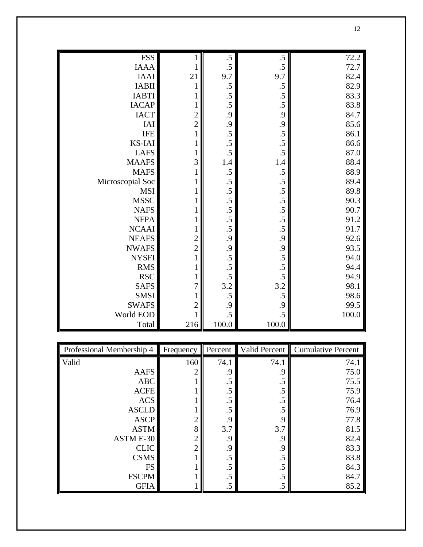| <b>FSS</b>                  |                | .5              | .5        | 72.2  |
|-----------------------------|----------------|-----------------|-----------|-------|
| <b>IAAA</b>                 |                | .5              | .5        | 72.7  |
| <b>IAAI</b>                 | 21             | 9.7             | 9.7       | 82.4  |
| <b>IABII</b>                |                | .5              | .5        | 82.9  |
| <b>IABTI</b>                |                | .5              | .5        | 83.3  |
| <b>IACAP</b>                | 1              | .5              | .5        | 83.8  |
| <b>IACT</b>                 | $\overline{c}$ | .9              | .9        | 84.7  |
| $\ensuremath{\mathrm{IAI}}$ | $\overline{c}$ | .9              | .9        | 85.6  |
| <b>IFE</b>                  |                | $\overline{.5}$ | .5        | 86.1  |
| KS-IAI                      |                | $\overline{.5}$ | .5        | 86.6  |
| <b>LAFS</b>                 |                | $\overline{.5}$ | .5        | 87.0  |
| <b>MAAFS</b>                | 3              | 1.4             | 1.4       | 88.4  |
| <b>MAFS</b>                 |                | .5              | .5        | 88.9  |
| Microscopial Soc            | 1              | .5              | .5        | 89.4  |
| $\bf{MSI}$                  |                | $\overline{.5}$ | .5        | 89.8  |
| <b>MSSC</b>                 |                | .5              | .5        | 90.3  |
| <b>NAFS</b>                 |                | $\overline{.5}$ | .5        | 90.7  |
| <b>NFPA</b>                 |                | $\overline{.5}$ | .5        | 91.2  |
| <b>NCAAI</b>                |                | $\overline{.5}$ | .5        | 91.7  |
| <b>NEAFS</b>                | $\overline{c}$ | .9              | .9        | 92.6  |
| <b>NWAFS</b>                | $\overline{c}$ | .9              | .9        | 93.5  |
| <b>NYSFI</b>                |                | $\overline{.5}$ | .5        | 94.0  |
| <b>RMS</b>                  |                | $\overline{.5}$ | .5        | 94.4  |
| <b>RSC</b>                  |                | .5              | .5        | 94.9  |
| <b>SAFS</b>                 | 7              | 3.2             | 3.2       | 98.1  |
| SMSI                        |                | .5              | .5        | 98.6  |
| <b>SWAFS</b>                | $\overline{c}$ | .9              | .9        | 99.5  |
| World EOD                   | 1              | .5              | .5        | 100.0 |
| Total                       | 216            | $100.0\,$       | $100.0\,$ |       |

| Professional Membership 4 | Frequency      | Percent | Valid Percent | Cumulative Percent |
|---------------------------|----------------|---------|---------------|--------------------|
| Valid                     | 160            | 74.1    | 74.1          | 74.1               |
| <b>AAFS</b>               |                | .9      | .9            | 75.0               |
| <b>ABC</b>                |                | .5      | .5            | 75.5               |
| <b>ACFE</b>               |                | $.5\,$  | .5            | 75.9               |
| <b>ACS</b>                |                | .5      | .5            | 76.4               |
| <b>ASCLD</b>              |                | .5      | .5            | 76.9               |
| <b>ASCP</b>               |                | .9      | .9            | 77.8               |
| <b>ASTM</b>               | 8              | 3.7     | 3.7           | 81.5               |
| ASTM E-30                 |                | .9      | .9            | 82.4               |
| <b>CLIC</b>               | $\overline{2}$ | .9      | 9.            | 83.3               |
| <b>CSMS</b>               |                | .5      | .5            | 83.8               |
| <b>FS</b>                 |                | .5      | .5            | 84.3               |
| <b>FSCPM</b>              |                | .5      | .5            | 84.7               |
| <b>GFIA</b>               |                | $.5\,$  | .5            | 85.2               |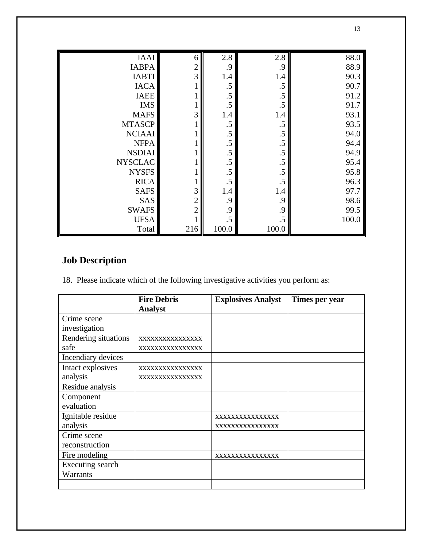| <b>IAAI</b>    | 6              | 2.8   | 2.8   | 88.0  |
|----------------|----------------|-------|-------|-------|
| <b>IABPA</b>   | 2              | .9    | .9    | 88.9  |
| <b>IABTI</b>   | 3              | 1.4   | 1.4   | 90.3  |
| <b>IACA</b>    |                | .5    | .5    | 90.7  |
| <b>IAEE</b>    |                | .5    | .5    | 91.2  |
| <b>IMS</b>     |                | .5    | .5    | 91.7  |
| <b>MAFS</b>    | 3              | 1.4   | 1.4   | 93.1  |
| <b>MTASCP</b>  |                | .5    | .5    | 93.5  |
| <b>NCIAAI</b>  |                | .5    | .5    | 94.0  |
| <b>NFPA</b>    |                | .5    | .5    | 94.4  |
| <b>NSDIAI</b>  |                | .5    | .5    | 94.9  |
| <b>NYSCLAC</b> |                | .5    | .5    | 95.4  |
| <b>NYSFS</b>   |                | .5    | .5    | 95.8  |
| <b>RICA</b>    |                | .5    | .5    | 96.3  |
| <b>SAFS</b>    | 3              | 1.4   | 1.4   | 97.7  |
| SAS            | $\overline{2}$ | .9    | .9    | 98.6  |
| <b>SWAFS</b>   | 2              | .9    | .9    | 99.5  |
| <b>UFSA</b>    |                | .5    | .5    | 100.0 |
| Total          | 216            | 100.0 | 100.0 |       |

# **Job Description**

18. Please indicate which of the following investigative activities you perform as:

|                      | <b>Fire Debris</b> | <b>Explosives Analyst</b> | Times per year |
|----------------------|--------------------|---------------------------|----------------|
|                      | <b>Analyst</b>     |                           |                |
| Crime scene          |                    |                           |                |
| investigation        |                    |                           |                |
| Rendering situations | XXXXXXXXXXXXXXX    |                           |                |
| safe                 | XXXXXXXXXXXXXXX    |                           |                |
| Incendiary devices   |                    |                           |                |
| Intact explosives    | XXXXXXXXXXXXXXX    |                           |                |
| analysis             | XXXXXXXXXXXXXXXX   |                           |                |
| Residue analysis     |                    |                           |                |
| Component            |                    |                           |                |
| evaluation           |                    |                           |                |
| Ignitable residue    |                    | XXXXXXXXXXXXXXX           |                |
| analysis             |                    | XXXXXXXXXXXXXXX           |                |
| Crime scene          |                    |                           |                |
| reconstruction       |                    |                           |                |
| Fire modeling        |                    | XXXXXXXXXXXXXXX           |                |
| Executing search     |                    |                           |                |
| Warrants             |                    |                           |                |
|                      |                    |                           |                |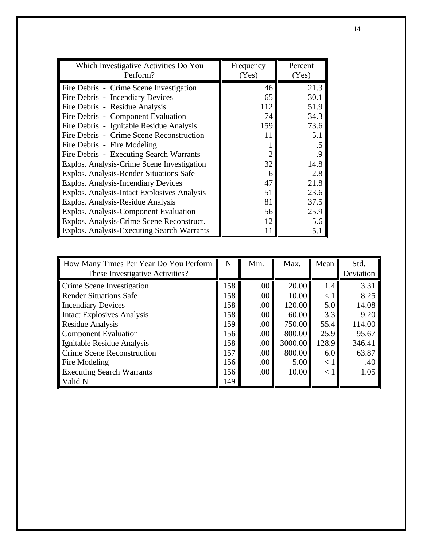| Which Investigative Activities Do You<br>Perform? | Frequency<br>(Yes) | Percent<br>(Yes) |
|---------------------------------------------------|--------------------|------------------|
| Fire Debris - Crime Scene Investigation           | 46                 | 21.3             |
| Fire Debris - Incendiary Devices                  | 65                 | 30.1             |
| Fire Debris - Residue Analysis                    | 112                | 51.9             |
| Fire Debris - Component Evaluation                | 74                 | 34.3             |
| Fire Debris - Ignitable Residue Analysis          | 159                | 73.6             |
| Fire Debris - Crime Scene Reconstruction          | 11                 | 5.1              |
| Fire Debris - Fire Modeling                       |                    | $.5\,$           |
| Fire Debris - Executing Search Warrants           | 2                  | .9               |
| Explos. Analysis-Crime Scene Investigation        | 32                 | 14.8             |
| Explos. Analysis-Render Situations Safe           | 6                  | 2.8              |
| Explos. Analysis-Incendiary Devices               | 47                 | 21.8             |
| Explos. Analysis-Intact Explosives Analysis       | 51                 | 23.6             |
| Explos. Analysis-Residue Analysis                 | 81                 | 37.5             |
| Explos. Analysis-Component Evaluation             | 56                 | 25.9             |
| Explos. Analysis-Crime Scene Reconstruct.         | 12                 | 5.6              |
| Explos. Analysis-Executing Search Warrants        | 11                 | 5.1              |

| How Many Times Per Year Do You Perform | N   | Min. | Max.    | Mean     | Std.      |
|----------------------------------------|-----|------|---------|----------|-----------|
| These Investigative Activities?        |     |      |         |          | Deviation |
| Crime Scene Investigation              | 158 | .00  | 20.00   | 1.4      | 3.31      |
| <b>Render Situations Safe</b>          | 158 | .00  | 10.00   | < 1      | 8.25      |
| <b>Incendiary Devices</b>              | 158 | .00  | 120.00  | 5.0      | 14.08     |
| <b>Intact Explosives Analysis</b>      | 158 | .00  | 60.00   | 3.3      | 9.20      |
| Residue Analysis                       | 159 | .00  | 750.00  | 55.4     | 114.00    |
| <b>Component Evaluation</b>            | 156 | .00  | 800.00  | 25.9     | 95.67     |
| Ignitable Residue Analysis             | 158 | .00  | 3000.00 | 128.9    | 346.41    |
| Crime Scene Reconstruction             | 157 | .00  | 800.00  | 6.0      | 63.87     |
| Fire Modeling                          | 156 | 00.  | 5.00    | $\leq 1$ | .40       |
| <b>Executing Search Warrants</b>       | 156 | .00  | 10.00   | $\leq 1$ | 1.05      |
| Valid N                                | 149 |      |         |          |           |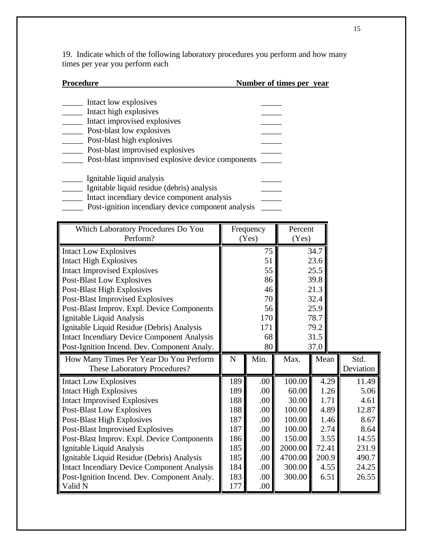19. Indicate which of the following laboratory procedures you perform and how many times per year you perform each

| <b>Procedure</b>                                  | Number of times per year |  |
|---------------------------------------------------|--------------------------|--|
| Intact low explosives                             |                          |  |
| Intact high explosives                            |                          |  |
| Intact improvised explosives                      |                          |  |
| Post-blast low explosives                         |                          |  |
| Post-blast high explosives                        |                          |  |
| Post-blast improvised explosives                  |                          |  |
| Post-blast improvised explosive device components |                          |  |
| Ignitable liquid analysis                         |                          |  |
| Ignitable liquid residue (debris) analysis        |                          |  |
| Intact incendiary device component analysis       |                          |  |

Post-ignition incendiary device component analysis \_\_\_\_\_\_

| Which Laboratory Procedures Do You                 |     | Frequency | Percent |       |           |
|----------------------------------------------------|-----|-----------|---------|-------|-----------|
| Perform?                                           |     | (Yes)     | (Yes)   |       |           |
| <b>Intact Low Explosives</b>                       |     | 75        |         | 34.7  |           |
| <b>Intact High Explosives</b>                      |     | 51        |         | 23.6  |           |
| <b>Intact Improvised Explosives</b>                |     | 55        |         | 25.5  |           |
| <b>Post-Blast Low Explosives</b>                   |     | 86        |         | 39.8  |           |
| Post-Blast High Explosives                         |     | 46        |         | 21.3  |           |
| <b>Post-Blast Improvised Explosives</b>            |     | 70        |         | 32.4  |           |
| Post-Blast Improv. Expl. Device Components         |     | 56        |         | 25.9  |           |
| Ignitable Liquid Analysis                          |     | 170       |         | 78.7  |           |
| Ignitable Liquid Residue (Debris) Analysis         |     | 171       |         | 79.2  |           |
| <b>Intact Incendiary Device Component Analysis</b> |     | 68        |         | 31.5  |           |
| Post-Ignition Incend. Dev. Component Analy.        |     | 80        |         | 37.0  |           |
| How Many Times Per Year Do You Perform             | N   | Min.      | Max.    | Mean  | Std.      |
| <b>These Laboratory Procedures?</b>                |     |           |         |       | Deviation |
| <b>Intact Low Explosives</b>                       | 189 | .00       | 100.00  | 4.29  | 11.49     |
| <b>Intact High Explosives</b>                      | 189 | .00       | 60.00   | 1.26  | 5.06      |
| <b>Intact Improvised Explosives</b>                | 188 | .00       | 30.00   | 1.71  | 4.61      |
| Post-Blast Low Explosives                          | 188 | .00       | 100.00  | 4.89  | 12.87     |
| Post-Blast High Explosives                         | 187 | .00       | 100.00  | 1.46  | 8.67      |
| Post-Blast Improvised Explosives                   | 187 | .00       | 100.00  | 2.74  | 8.64      |
| Post-Blast Improv. Expl. Device Components         | 186 | .00       | 150.00  | 3.55  | 14.55     |
| Ignitable Liquid Analysis                          | 185 | .00       | 2000.00 | 72.41 | 231.9     |
| Ignitable Liquid Residue (Debris) Analysis         | 185 | .00       | 4700.00 | 200.9 | 490.7     |
| <b>Intact Incendiary Device Component Analysis</b> | 184 | .00       | 300.00  | 4.55  | 24.25     |
| Post-Ignition Incend. Dev. Component Analy.        | 183 | .00       | 300.00  | 6.51  | 26.55     |
| Valid N                                            | 177 | .00.      |         |       |           |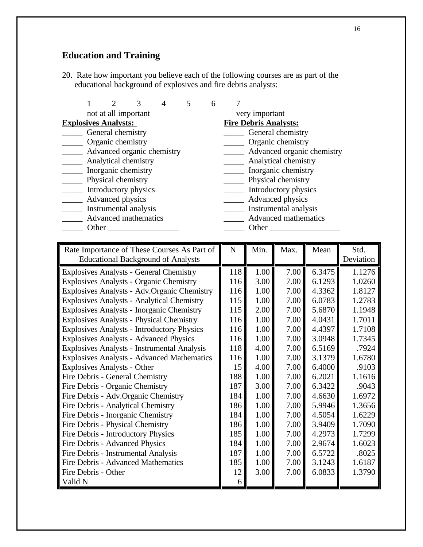# **Education and Training**

20. Rate how important you believe each of the following courses are as part of the educational background of explosives and fire debris analysts:

|                             |                             |  | 6 |                              |
|-----------------------------|-----------------------------|--|---|------------------------------|
|                             | not at all important        |  |   | very important               |
| <b>Explosives Analysts:</b> |                             |  |   | <b>Fire Debris Analysts:</b> |
|                             | General chemistry           |  |   | General chemistry            |
|                             | Organic chemistry           |  |   | Organic chemistry            |
|                             | Advanced organic chemistry  |  |   | Advanced organic chemistry   |
|                             | Analytical chemistry        |  |   | Analytical chemistry         |
|                             | Inorganic chemistry         |  |   | Inorganic chemistry          |
|                             | Physical chemistry          |  |   | Physical chemistry           |
|                             | Introductory physics        |  |   | Introductory physics         |
|                             | Advanced physics            |  |   | Advanced physics             |
|                             | Instrumental analysis       |  |   | Instrumental analysis        |
|                             | <b>Advanced mathematics</b> |  |   | <b>Advanced mathematics</b>  |
| Other                       |                             |  |   | Other                        |

| Rate Importance of These Courses As Part of       | N   | Min. | Max. | Mean   | Std.      |
|---------------------------------------------------|-----|------|------|--------|-----------|
| <b>Educational Background of Analysts</b>         |     |      |      |        | Deviation |
| <b>Explosives Analysts - General Chemistry</b>    | 118 | 1.00 | 7.00 | 6.3475 | 1.1276    |
| <b>Explosives Analysts - Organic Chemistry</b>    | 116 | 3.00 | 7.00 | 6.1293 | 1.0260    |
| Explosives Analysts - Adv.Organic Chemistry       | 116 | 1.00 | 7.00 | 4.3362 | 1.8127    |
| <b>Explosives Analysts - Analytical Chemistry</b> | 115 | 1.00 | 7.00 | 6.0783 | 1.2783    |
| <b>Explosives Analysts - Inorganic Chemistry</b>  | 115 | 2.00 | 7.00 | 5.6870 | 1.1948    |
| <b>Explosives Analysts - Physical Chemistry</b>   | 116 | 1.00 | 7.00 | 4.0431 | 1.7011    |
| <b>Explosives Analysts - Introductory Physics</b> | 116 | 1.00 | 7.00 | 4.4397 | 1.7108    |
| <b>Explosives Analysts - Advanced Physics</b>     | 116 | 1.00 | 7.00 | 3.0948 | 1.7345    |
| Explosives Analysts - Instrumental Analysis       | 118 | 4.00 | 7.00 | 6.5169 | .7924     |
| <b>Explosives Analysts - Advanced Mathematics</b> | 116 | 1.00 | 7.00 | 3.1379 | 1.6780    |
| <b>Explosives Analysts - Other</b>                | 15  | 4.00 | 7.00 | 6.4000 | .9103     |
| Fire Debris - General Chemistry                   | 188 | 1.00 | 7.00 | 6.2021 | 1.1616    |
| Fire Debris - Organic Chemistry                   | 187 | 3.00 | 7.00 | 6.3422 | .9043     |
| Fire Debris - Adv.Organic Chemistry               | 184 | 1.00 | 7.00 | 4.6630 | 1.6972    |
| Fire Debris - Analytical Chemistry                | 186 | 1.00 | 7.00 | 5.9946 | 1.3656    |
| Fire Debris - Inorganic Chemistry                 | 184 | 1.00 | 7.00 | 4.5054 | 1.6229    |
| Fire Debris - Physical Chemistry                  | 186 | 1.00 | 7.00 | 3.9409 | 1.7090    |
| Fire Debris - Introductory Physics                | 185 | 1.00 | 7.00 | 4.2973 | 1.7299    |
| Fire Debris - Advanced Physics                    | 184 | 1.00 | 7.00 | 2.9674 | 1.6023    |
| Fire Debris - Instrumental Analysis               | 187 | 1.00 | 7.00 | 6.5722 | .8025     |
| <b>Fire Debris - Advanced Mathematics</b>         | 185 | 1.00 | 7.00 | 3.1243 | 1.6187    |
| Fire Debris - Other                               | 12  | 3.00 | 7.00 | 6.0833 | 1.3790    |
| Valid N                                           | 6   |      |      |        |           |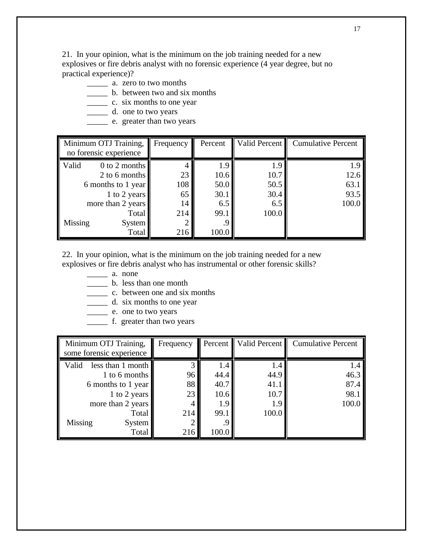21. In your opinion, what is the minimum on the job training needed for a new explosives or fire debris analyst with no forensic experience (4 year degree, but no practical experience)?

- \_\_\_\_\_ a. zero to two months
- \_\_\_\_\_ b. between two and six months
- \_\_\_\_\_ c. six months to one year
- \_\_\_\_\_ d. one to two years
- \_\_\_\_\_ e. greater than two years

| Minimum OTJ Training, |                        | Frequency | Percent | Valid Percent | <b>Cumulative Percent</b> |
|-----------------------|------------------------|-----------|---------|---------------|---------------------------|
|                       | no forensic experience |           |         |               |                           |
| Valid                 | $0$ to 2 months        |           | 1.9     | 1.9           | 1.9                       |
|                       | 2 to 6 months          | 23        | 10.6    | 10.7          | 12.6                      |
| 6 months to 1 year    |                        | 108       | 50.0    | 50.5          | 63.1                      |
|                       | 1 to 2 years           | 65        | 30.1    | 30.4          | 93.5                      |
|                       | more than 2 years      | 14        | 6.5     | 6.5           | 100.0                     |
|                       | <b>Total</b>           | 214       | 99.1    | 100.0         |                           |
| <b>Missing</b>        | <b>System</b>          |           |         |               |                           |
|                       | Total                  | 216       | 100.0   |               |                           |

22. In your opinion, what is the minimum on the job training needed for a new explosives or fire debris analyst who has instrumental or other forensic skills?

- $\frac{1}{\sqrt{2}}$  a. none
- \_\_\_\_\_ b. less than one month
- \_\_\_\_\_ c. between one and six months
- \_\_\_\_\_ d. six months to one year
- \_\_\_\_\_ e. one to two years
- \_\_\_\_\_ f. greater than two years

| Minimum OTJ Training,    |                   | Frequency |       |       | Percent   Valid Percent   Cumulative Percent |
|--------------------------|-------------------|-----------|-------|-------|----------------------------------------------|
| some forensic experience |                   |           |       |       |                                              |
| Valid                    | less than 1 month |           | 1.4   | 1.4   | 1.4                                          |
|                          | 1 to 6 months     | 96        | 44.4  | 44.9  | 46.3                                         |
| 6 months to 1 year       |                   | 88        | 40.7  | 41.1  | 87.4                                         |
|                          | 1 to 2 years      | 23        | 10.6  | 10.7  | 98.1                                         |
|                          | more than 2 years |           | 1.9   | 19    | 100.0                                        |
|                          | Total             | 214       | 99.1  | 100.0 |                                              |
| <b>Missing</b>           | <b>System</b>     |           |       |       |                                              |
|                          | Total             | 216       | 100.0 |       |                                              |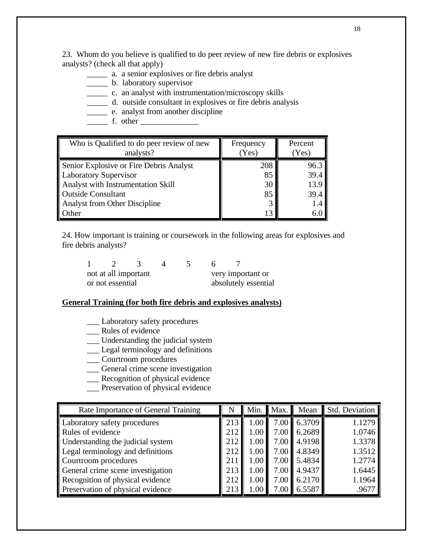23. Whom do you believe is qualified to do peer review of new fire debris or explosives analysts? (check all that apply)

- \_\_\_\_\_ a. a senior explosives or fire debris analyst
- \_\_\_\_\_ b. laboratory supervisor
- \_\_\_\_\_ c. an analyst with instrumentation/microscopy skills
- \_\_\_\_\_ d. outside consultant in explosives or fire debris analysis
- \_\_\_\_\_ e. analyst from another discipline
- $\frac{1}{\sqrt{1-\frac{1}{2}}}\int$  f. other  $\frac{1}{\sqrt{1-\frac{1}{2}}}\int$

| Who is Qualified to do peer review of new<br>analysts? | Frequency<br>Yes) | Percent<br>(Yes) |
|--------------------------------------------------------|-------------------|------------------|
| Senior Explosive or Fire Debris Analyst                | 208               | 96.3             |
| <b>Laboratory Supervisor</b>                           | 85                | 39.4             |
| Analyst with Instrumentation Skill                     | 30                | 13.9             |
| <b>Outside Consultant</b>                              | 85                | 39.4             |
| <b>Analyst from Other Discipline</b>                   |                   | 1.4              |
| Other                                                  | 13                |                  |

24. How important is training or coursework in the following areas for explosives and fire debris analysts?

|                  | not at all important |  | very important or    |  |
|------------------|----------------------|--|----------------------|--|
| or not essential |                      |  | absolutely essential |  |

#### **General Training (for both fire debris and explosives analysts)**

- \_\_\_ Laboratory safety procedures
- \_\_\_ Rules of evidence
- Understanding the judicial system
- \_\_\_ Legal terminology and definitions
- \_\_\_ Courtroom procedures
- \_\_\_ General crime scene investigation
- \_\_\_ Recognition of physical evidence
- \_\_\_ Preservation of physical evidence

| Rate Importance of General Training |     | Min. $\blacksquare$ | Max. | Mean   | <b>Std. Deviation</b> |
|-------------------------------------|-----|---------------------|------|--------|-----------------------|
| Laboratory safety procedures        | 213 | 1.00                | 7.00 | 6.3709 | 1.1279                |
| Rules of evidence                   | 212 | 1.00                | 7.00 | 6.2689 | 1.0746                |
| Understanding the judicial system   | 212 | 1.00                | 7.00 | 4.9198 | 1.3378                |
| Legal terminology and definitions   | 212 | 1.00                | 7.00 | 4.8349 | 1.3512                |
| Courtroom procedures                | 211 | 1.00                | 7.00 | 5.4834 | 1.2774                |
| General crime scene investigation   | 213 | 1.00                | 7.00 | 4.9437 | 1.6445                |
| Recognition of physical evidence    | 212 | 1.00                | 7.00 | 6.2170 | 1.1964                |
| Preservation of physical evidence   | 213 |                     | 7.00 | 6.5587 | .9677                 |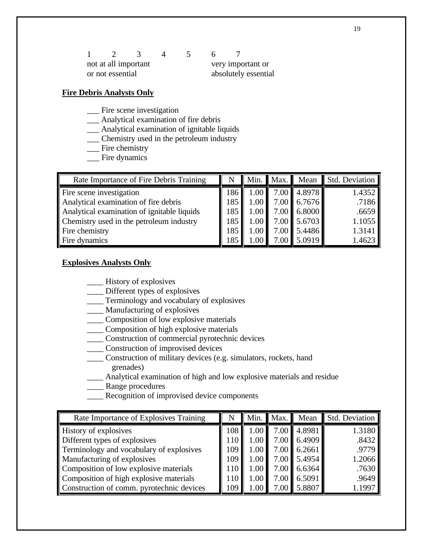|                  | not at all important |  | very important or    |  |
|------------------|----------------------|--|----------------------|--|
| or not essential |                      |  | absolutely essential |  |

#### **Fire Debris Analysts Only**

- \_\_\_ Fire scene investigation
- \_\_\_ Analytical examination of fire debris
- \_\_\_ Analytical examination of ignitable liquids
- \_\_\_ Chemistry used in the petroleum industry
- \_\_\_ Fire chemistry
- \_\_\_ Fire dynamics

| Rate Importance of Fire Debris Training     |     |      | Min. Max.        | <b>Mean</b> | Std. Deviation |
|---------------------------------------------|-----|------|------------------|-------------|----------------|
| Fire scene investigation                    | 186 | 1.00 |                  | 7.00 4.8978 | 1.4352         |
| Analytical examination of fire debris       | 185 | 1.00 |                  | 7.00 6.7676 | .7186          |
| Analytical examination of ignitable liquids | 185 | 1.00 |                  | 7.00 6.8000 | .6659          |
| Chemistry used in the petroleum industry    | 185 | 1.00 |                  | 7.00 5.6703 | 1.1055         |
| Fire chemistry                              | 185 | 1.00 |                  | 7.00 5.4486 | 1.3141         |
| Fire dynamics                               | 185 | 1.OC | $7.00 \triangle$ | 5.0919      | 1.4623         |

#### **Explosives Analysts Only**

- \_\_\_\_ History of explosives
- \_\_\_\_ Different types of explosives
- \_\_\_\_ Terminology and vocabulary of explosives
- \_\_\_\_ Manufacturing of explosives
- \_\_\_\_ Composition of low explosive materials
- \_\_\_\_ Composition of high explosive materials
- \_\_\_\_ Construction of commercial pyrotechnic devices
- \_\_\_\_ Construction of improvised devices
- \_\_\_\_ Construction of military devices (e.g. simulators, rockets, hand grenades)
- \_\_\_\_ Analytical examination of high and low explosive materials and residue
- \_\_\_\_ Range procedures
- \_\_\_\_ Recognition of improvised device components

| Rate Importance of Explosives Training    |     |          | Min. $Max.$ | Mean                    | Std. Deviation |
|-------------------------------------------|-----|----------|-------------|-------------------------|----------------|
| History of explosives                     | 108 | 1.00     |             | 7.00 4.8981             | 1.3180         |
| Different types of explosives             |     | 1.00     |             | 7.00 6.4909             | .8432          |
| Terminology and vocabulary of explosives  | 109 | 1.00     |             | $7.00 \, \text{6.2661}$ | .9779          |
| Manufacturing of explosives               | 109 | 1.00     |             | 7.00 5.4954             | 1.2066         |
| Composition of low explosive materials    |     | $1.00\,$ |             | 7.00 6.6364             | .7630          |
| Composition of high explosive materials   | 110 | 1.00     |             | $7.00 \parallel 6.5091$ | .9649          |
| Construction of comm. pyrotechnic devices | 109 | $1.00\,$ |             | 7.00    5.8807          | 1.1997         |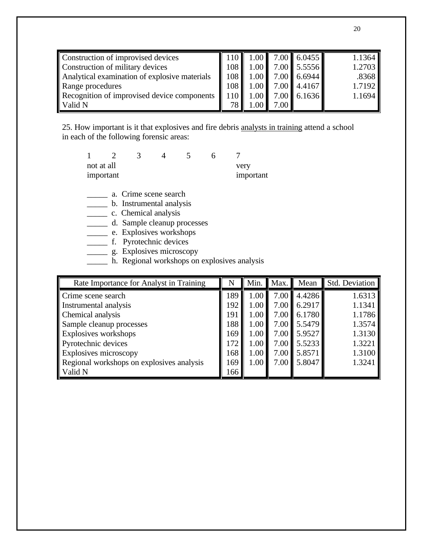| Construction of improvised devices            |      |      |                  | $\boxed{110}$ $\boxed{1.00}$ $\boxed{7.00}$ $\boxed{6.0455}$ | 1.1364 |
|-----------------------------------------------|------|------|------------------|--------------------------------------------------------------|--------|
| Construction of military devices              |      |      |                  | 108 1.00 7.00 5.5556                                         | 1.2703 |
| Analytical examination of explosive materials |      |      |                  | 108 1.00 7.00 6.6944                                         | .8368  |
| Range procedures                              |      |      |                  | 108 1.00 7.00 4.4167                                         | 1.7192 |
| Recognition of improvised device components   | 110  |      |                  | $1.00$ 7.00 6.1636                                           | 1.1694 |
| Valid N                                       | 78 L | 1.00 | $7.00 \triangle$ |                                                              |        |

25. How important is it that explosives and fire debris analysts in training attend a school in each of the following forensic areas:

| not at all | important |  |  | very<br>important |
|------------|-----------|--|--|-------------------|

\_\_\_\_\_ a. Crime scene search

- \_\_\_\_\_ b. Instrumental analysis
- \_\_\_\_\_ c. Chemical analysis
- \_\_\_\_\_ d. Sample cleanup processes
- **\_\_\_\_\_** e. Explosives workshops
- \_\_\_\_\_ f. Pyrotechnic devices
- \_\_\_\_\_ g. Explosives microscopy
- \_\_\_\_\_ h. Regional workshops on explosives analysis

| Rate Importance for Analyst in Training   | N   |      | Min. Max.         | Mean   | Std. Deviation |
|-------------------------------------------|-----|------|-------------------|--------|----------------|
| Crime scene search                        | 189 | 1.00 | 7.00              | 4.4286 | 1.6313         |
| Instrumental analysis                     | 192 | 1.00 | 7.00              | 6.2917 | 1.1341         |
| Chemical analysis                         | 191 | 1.00 | 7.00              | 6.1780 | 1.1786         |
| Sample cleanup processes                  | 188 | 1.00 | 7.00              | 5.5479 | 1.3574         |
| Explosives workshops                      | 169 | 1.00 | 7.00 <sub>1</sub> | 5.9527 | 1.3130         |
| Pyrotechnic devices                       | 172 | 1.00 | 7.00              | 5.5233 | 1.3221         |
| Explosives microscopy                     | 168 | 1.00 | 7.00              | 5.8571 | 1.3100         |
| Regional workshops on explosives analysis | 169 | 1.00 | 7.00              | 5.8047 | 1.3241         |
| Valid N                                   | 166 |      |                   |        |                |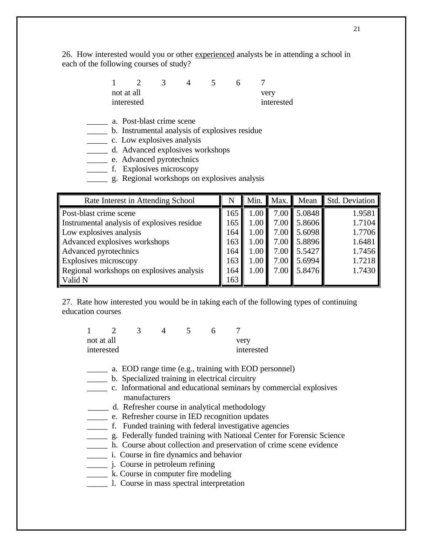26. How interested would you or other experienced analysts be in attending a school in each of the following courses of study?

| not at all<br>interested |  |  | very<br>interested |
|--------------------------|--|--|--------------------|

\_\_\_\_\_ a. Post-blast crime scene

- \_\_\_\_\_ b. Instrumental analysis of explosives residue
- \_\_\_\_\_ c. Low explosives analysis
- \_\_\_\_\_ d. Advanced explosives workshops
- \_\_\_\_\_ e. Advanced pyrotechnics
- \_\_\_\_\_ f. Explosives microscopy
	- \_\_\_\_\_ g. Regional workshops on explosives analysis

| Rate Interest in Attending School           | N   |      | Min. Max. | Mean        | Std. Deviation |
|---------------------------------------------|-----|------|-----------|-------------|----------------|
| Post-blast crime scene                      | 165 | 1.00 |           | 7.00 5.0848 | 1.9581         |
| Instrumental analysis of explosives residue | 165 | 1.00 |           | 7.00 5.8606 | 1.7104         |
| Low explosives analysis                     | 164 | 1.00 |           | 7.00 5.6098 | 1.7706         |
| Advanced explosives workshops               | 163 | 1.00 |           | 7.00 5.8896 | 1.6481         |
| Advanced pyrotechnics                       | 164 | 1.00 |           | 7.00 5.5427 | 1.7456         |
| Explosives microscopy                       | 163 | 1.00 |           | 7.00 5.6994 | 1.7218         |
| Regional workshops on explosives analysis   | 164 | 1.00 |           | 7.00 5.8476 | 1.7430         |
| Valid N                                     | 163 |      |           |             |                |

27. Rate how interested you would be in taking each of the following types of continuing education courses

| not at all |  |  | verv       |
|------------|--|--|------------|
| interested |  |  | interested |

- \_\_\_\_\_ a. EOD range time (e.g., training with EOD personnel)
- \_\_\_\_\_ b. Specialized training in electrical circuitry
- \_\_\_\_\_ c. Informational and educational seminars by commercial explosives manufacturers
- \_\_\_\_\_ d. Refresher course in analytical methodology
- \_\_\_\_\_ e. Refresher course in IED recognition updates
- \_\_\_\_\_ f. Funded training with federal investigative agencies
- \_\_\_\_\_ g. Federally funded training with National Center for Forensic Science
- \_\_\_\_\_ h. Course about collection and preservation of crime scene evidence
- \_\_\_\_\_ i. Course in fire dynamics and behavior
- \_\_\_\_\_ j. Course in petroleum refining
- \_\_\_\_\_ k. Course in computer fire modeling
- \_\_\_\_\_ l. Course in mass spectral interpretation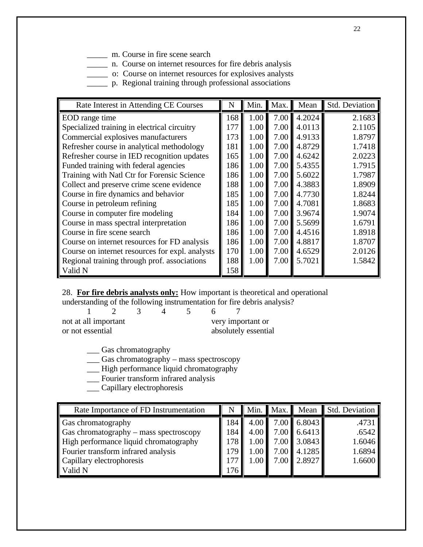- m. Course in fire scene search
- \_\_\_\_\_ n. Course on internet resources for fire debris analysis
- \_\_\_\_\_ o: Course on internet resources for explosives analysts
- \_\_\_\_\_ p. Regional training through professional associations

| Rate Interest in Attending CE Courses           | N   | Min. | Max. | Mean   | <b>Std. Deviation</b> |
|-------------------------------------------------|-----|------|------|--------|-----------------------|
| EOD range time                                  | 168 | 1.00 | 7.00 | 4.2024 | 2.1683                |
| Specialized training in electrical circuitry    | 177 | 1.00 | 7.00 | 4.0113 | 2.1105                |
| Commercial explosives manufacturers             | 173 | 1.00 | 7.00 | 4.9133 | 1.8797                |
| Refresher course in analytical methodology      | 181 | 1.00 | 7.00 | 4.8729 | 1.7418                |
| Refresher course in IED recognition updates     | 165 | 1.00 | 7.00 | 4.6242 | 2.0223                |
| Funded training with federal agencies           | 186 | 1.00 | 7.00 | 5.4355 | 1.7915                |
| Training with Natl Ctr for Forensic Science     | 186 | 1.00 | 7.00 | 5.6022 | 1.7987                |
| Collect and preserve crime scene evidence       | 188 | 1.00 | 7.00 | 4.3883 | 1.8909                |
| Course in fire dynamics and behavior            | 185 | 1.00 | 7.00 | 4.7730 | 1.8244                |
| Course in petroleum refining                    | 185 | 1.00 | 7.00 | 4.7081 | 1.8683                |
| Course in computer fire modeling                | 184 | 1.00 | 7.00 | 3.9674 | 1.9074                |
| Course in mass spectral interpretation          | 186 | 1.00 | 7.00 | 5.5699 | 1.6791                |
| Course in fire scene search                     | 186 | 1.00 | 7.00 | 4.4516 | 1.8918                |
| Course on internet resources for FD analysis    | 186 | 1.00 | 7.00 | 4.8817 | 1.8707                |
| Course on internet resources for expl. analysts | 170 | 1.00 | 7.00 | 4.6529 | 2.0126                |
| Regional training through prof. associations    | 188 | 1.00 | 7.00 | 5.7021 | 1.5842                |
| Valid N                                         | 158 |      |      |        |                       |

28. **For fire debris analysts only:** How important is theoretical and operational understanding of the following instrumentation for fire debris analysis?

|                  | not at all important |  |  | very important or    |  |
|------------------|----------------------|--|--|----------------------|--|
| or not essential |                      |  |  | absolutely essential |  |

\_\_\_ Gas chromatography

\_\_\_ Gas chromatography – mass spectroscopy

\_\_\_ High performance liquid chromatography

- \_\_\_ Fourier transform infrared analysis
- \_\_\_ Capillary electrophoresis

| Rate Importance of FD Instrumentation    |     |      | Min. Max. |                        | Mean Std. Deviation |
|------------------------------------------|-----|------|-----------|------------------------|---------------------|
| Gas chromatography                       | 184 |      |           | $4.00$ 7.00 6.8043     | .4731               |
| Gas chromatography $-$ mass spectroscopy | 184 |      |           | $4.00$ 7.00 6.6413     | .6542               |
| High performance liquid chromatography   | 178 |      |           | $1.00$   7.00   3.0843 | 1.6046              |
| Fourier transform infrared analysis      |     | 1.00 |           | $7.00$   4.1285        | 1.6894              |
| Capillary electrophoresis                |     | 1.00 |           | 7.00 2.8927            | 1.6600              |
| Valid N                                  |     |      |           |                        |                     |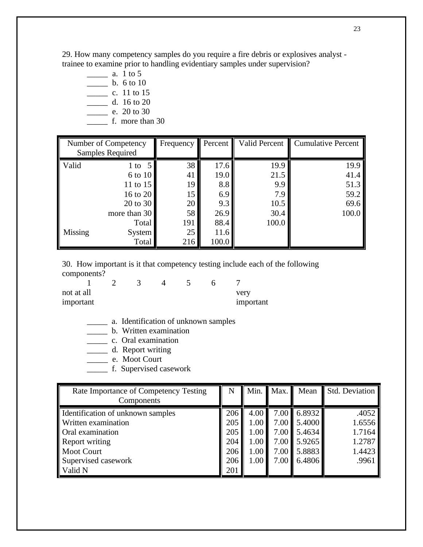29. How many competency samples do you require a fire debris or explosives analyst trainee to examine prior to handling evidentiary samples under supervision?

 $\frac{1}{2}$  a. 1 to 5 \_\_\_\_\_ b. 6 to 10  $\frac{1}{2}$  c. 11 to 15  $\frac{d}{2}$  d. 16 to 20  $e. 20 to 30$ \_\_\_\_\_ f. more than 30

| Number of Competency |                         | Frequency | Percent | Valid Percent | <b>Cumulative Percent</b> |
|----------------------|-------------------------|-----------|---------|---------------|---------------------------|
|                      | <b>Samples Required</b> |           |         |               |                           |
| Valid                | $1$ to $5$              | 38        | 17.6    | 19.9          | 19.9                      |
|                      | 6 to 10                 | 41        | 19.0    | 21.5          | 41.4                      |
|                      | 11 to 15                | 19        | 8.8     | 9.9           | 51.3                      |
|                      | 16 to 20                | 15        | 6.9     | 7.9           | 59.2                      |
|                      | 20 to 30                | 20        | 9.3     | 10.5          | 69.6                      |
|                      | more than 30            | 58        | 26.9    | 30.4          | 100.0                     |
|                      | Total                   | 191       | 88.4    | 100.0         |                           |
| Missing              | System                  | 25        | 11.6    |               |                           |
|                      | Total                   | 216       | 100.0   |               |                           |

30. How important is it that competency testing include each of the following components?

| not at all |  |  | verv      |
|------------|--|--|-----------|
| important  |  |  | important |

- \_\_\_\_\_ a. Identification of unknown samples
- \_\_\_\_\_ b. Written examination
- \_\_\_\_\_ c. Oral examination
- \_\_\_\_\_ d. Report writing
- \_\_\_\_\_\_\_\_ e. Moot Court
- \_\_\_\_\_ f. Supervised casework

| Rate Importance of Competency Testing<br>Components |     |      | Min. Max. Mean         | <b>Std. Deviation</b> |
|-----------------------------------------------------|-----|------|------------------------|-----------------------|
|                                                     |     |      |                        |                       |
| Identification of unknown samples                   | 206 |      | $4.00$ 7.00 6.8932     | .4052                 |
| Written examination                                 | 205 |      | $1.00$ 7.00 5.4000     | 1.6556                |
| <b>Oral</b> examination                             | 205 |      | $1.00$ 7.00 5.4634     | 1.7164                |
| <b>Report writing</b>                               | 204 |      | $1.00$   7.00   5.9265 | 1.2787                |
| Moot Court                                          | 206 | 1.00 | 7.00 5.8883            | 1.4423                |
| Supervised casework                                 | 206 | 1.00 | 7.00 6.4806            | .9961                 |
| Valid N                                             | 201 |      |                        |                       |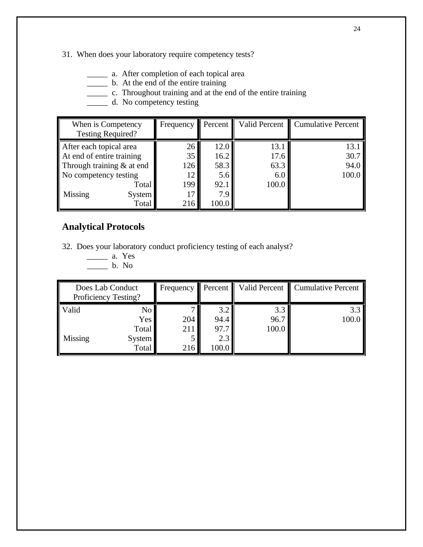### 31. When does your laboratory require competency tests?

- \_\_\_\_\_ a. After completion of each topical area
- $\frac{1}{2}$  b. At the end of the entire training
- \_\_\_\_\_ c. Throughout training and at the end of the entire training
- \_\_\_\_\_ d. No competency testing

| When is Competency          |               | Frequency | Percent |       | Valid Percent Cumulative Percent |
|-----------------------------|---------------|-----------|---------|-------|----------------------------------|
| <b>Testing Required?</b>    |               |           |         |       |                                  |
| After each topical area     |               | 26        | 12.0    | 13.1  | 13.1                             |
| At end of entire training   |               | 35        | 16.2    | 17.6  | 30.7                             |
| Through training $&$ at end |               | 126       | 58.3    | 63.3  | 94.0                             |
| No competency testing       |               | 12        | 5.6     | 6.0   | 100.0                            |
|                             | Total         | 199       | 92.1    | 100.0 |                                  |
| Missing                     | <b>System</b> | 17        | 7.9     |       |                                  |
|                             | Total         | 216       | 100.0   |       |                                  |

## **Analytical Protocols**

- 32. Does your laboratory conduct proficiency testing of each analyst?
	- \_\_\_\_\_ a. Yes

\_\_\_\_\_ b. No

| Does Lab Conduct<br>Proficiency Testing? |              | <b>Frequency</b> |       |       | Percent   Valid Percent   Cumulative Percent |
|------------------------------------------|--------------|------------------|-------|-------|----------------------------------------------|
| Valid                                    | No           |                  | 3.2   | 3.3   | 3.3                                          |
|                                          | Yes          | 204              | 94.4  | 96.7  | 100.0                                        |
|                                          | <b>Total</b> | 211              | 97.7  | 100.0 |                                              |
| Missing                                  | System       |                  | 2.3   |       |                                              |
|                                          | <b>Total</b> | 216              | 100.0 |       |                                              |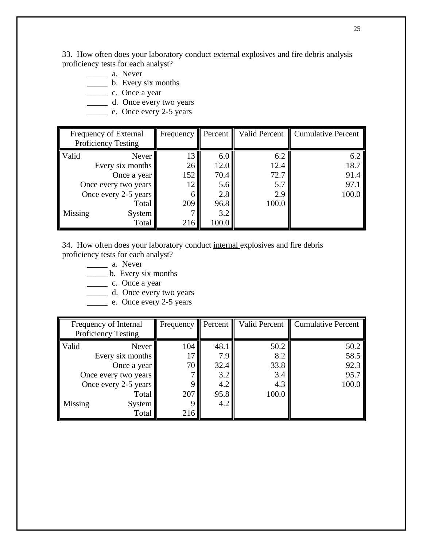33. How often does your laboratory conduct external explosives and fire debris analysis proficiency tests for each analyst?

- \_\_\_\_\_ a. Never
- \_\_\_\_\_ b. Every six months
- \_\_\_\_\_ c. Once a year
- \_\_\_\_\_ d. Once every two years
- \_\_\_\_\_ e. Once every 2-5 years

| Frequency of External |                      | Frequency | Percent | Valid Percent | Cumulative Percent |
|-----------------------|----------------------|-----------|---------|---------------|--------------------|
| Proficiency Testing   |                      |           |         |               |                    |
| Valid                 | Never <sup>1</sup>   | 13        | 6.0     | 6.2           | 6.2                |
|                       | Every six months     | 26        | 12.0    | 12.4          | 18.7               |
| Once a year           |                      | 152       | 70.4    | 72.7          | 91.4               |
|                       | Once every two years | 12        | 5.6     | 5.7           | 97.                |
|                       | Once every 2-5 years |           | 2.8     | 2.9           | 100.0              |
|                       | Total                | 209       | 96.8    | 100.0         |                    |
| Missing               | System               |           | 3.2     |               |                    |
|                       | Total                | 216       | 100.0   |               |                    |

34. How often does your laboratory conduct internal explosives and fire debris proficiency tests for each analyst?

- \_\_\_\_\_ a. Never
- \_\_\_\_\_ b. Every six months
- \_\_\_\_\_ c. Once a year
- \_\_\_\_\_ d. Once every two years
- $\frac{1}{2}$  e. Once every 2-5 years

| Frequency of Internal      |                      | Frequency | Percent | Valid Percent | <b>Cumulative Percent</b> |
|----------------------------|----------------------|-----------|---------|---------------|---------------------------|
| <b>Proficiency Testing</b> |                      |           |         |               |                           |
| Valid                      | Never                | 104       | 48.1    | 50.2          | 50.2                      |
|                            | Every six months     | 17        | 7.9     | 8.2           | 58.5                      |
| Once a year                |                      | 70        | 32.4    | 33.8          | 92.3                      |
|                            | Once every two years |           | 3.2     | 3.4           | 95.7                      |
|                            | Once every 2-5 years |           | 4.2     | 4.3           | 100.0                     |
|                            | Total                | 207       | 95.8    | 100.0         |                           |
| Missing                    | <b>System</b>        |           | 4.2     |               |                           |
|                            | Total                | 216       |         |               |                           |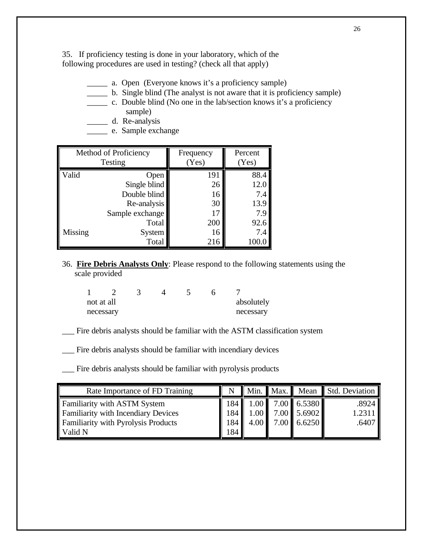35. If proficiency testing is done in your laboratory, which of the following procedures are used in testing? (check all that apply)

- \_\_\_\_\_ a. Open (Everyone knows it's a proficiency sample)
- \_\_\_\_\_ b. Single blind (The analyst is not aware that it is proficiency sample)
- \_\_\_\_\_ c. Double blind (No one in the lab/section knows it's a proficiency sample)
- \_\_\_\_\_ d. Re-analysis
- \_\_\_\_\_ e. Sample exchange

|         | Method of Proficiency<br>Testing | Frequency<br>(Yes) | Percent<br>(Yes) |
|---------|----------------------------------|--------------------|------------------|
| Valid   | Open                             | 191                | 88.4             |
|         | Single blind                     | 26                 | 12.0             |
|         | Double blind                     | 16                 | 7.4              |
|         | Re-analysis                      | 30                 | 13.9             |
|         | Sample exchange                  | 17                 | 7.9              |
|         | Total                            | 200                | 92.6             |
| Missing | System                           | 16                 | 7.4              |
|         | Total                            | 216                | 100.0            |

36. **Fire Debris Analysts Only**: Please respond to the following statements using the scale provided

| not at all |  |  | absolutely |
|------------|--|--|------------|
| necessary  |  |  | necessary  |

\_\_\_ Fire debris analysts should be familiar with the ASTM classification system

\_\_\_ Fire debris analysts should be familiar with incendiary devices

\_\_\_ Fire debris analysts should be familiar with pyrolysis products

| Rate Importance of FD Training      |       |      |                         | Min. Max. Mean Std. Deviation |
|-------------------------------------|-------|------|-------------------------|-------------------------------|
| Familiarity with ASTM System        | 184 I |      | $1.00$ 7.00 6.5380      | .8924                         |
| Familiarity with Incendiary Devices | 184   | 1.00 | $\parallel$ 7.00 5.6902 | 1.2311                        |
| Familiarity with Pyrolysis Products | 184   |      | $4.00$ 7.00 6.6250      | .6407                         |
| Valid N                             | 184   |      |                         |                               |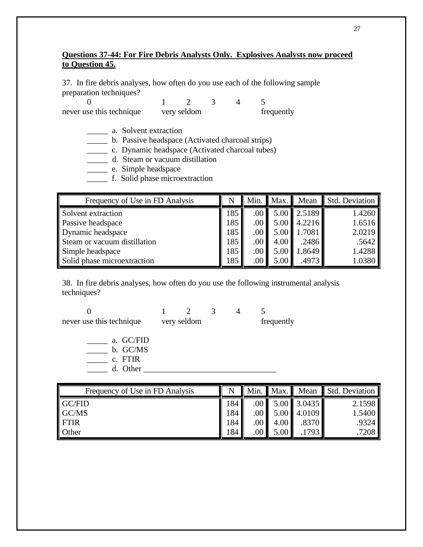### **Questions 37-44: For Fire Debris Analysts Only. Explosives Analysts now proceed to Question 45.**

37. In fire debris analyses, how often do you use each of the following sample preparation techniques?

0 1 2 3 4 5 never use this technique very seldom frequently

\_\_\_\_\_ a. Solvent extraction

\_\_\_\_\_ b. Passive headspace (Activated charcoal strips)

\_\_\_\_\_ c. Dynamic headspace (Activated charcoal tubes)

\_\_\_\_\_ d. Steam or vacuum distillation

\_\_\_\_\_ e. Simple headspace

\_\_\_\_\_ f. Solid phase microextraction

| Frequency of Use in FD Analysis | N   | Min. | Max. | Mean        | Std. Deviation |
|---------------------------------|-----|------|------|-------------|----------------|
| Solvent extraction              | 185 | .00  |      | 5.00 2.5189 | 1.4260         |
| Passive headspace               | 185 | .00  | 5.00 | 4.2216      | 1.6516         |
| Dynamic headspace               | 185 | .00  | 5.00 | 1.7081      | 2.0219         |
| Steam or vacuum distillation    | 185 | .00  | 4.00 | .2486       | .5642          |
| Simple headspace                | 185 | .00  | 5.00 | 8649.       | 1.4288         |
| Solid phase microextraction     | 185 | .00  | 5.00 | .4973       | 1.0380         |

38. In fire debris analyses, how often do you use the following instrumental analysis techniques?

| never use this technique | very seldom |  | frequently |
|--------------------------|-------------|--|------------|
| $\sim$                   |             |  |            |

| a. GC/FID |  |
|-----------|--|
| b. GC/MS  |  |
| c. FTIR   |  |
| d. Other  |  |

| Frequency of Use in FD Analysis | N   |       | Min. $\n  Max.\n$ | Mean                                  | <b>Std. Deviation</b> |
|---------------------------------|-----|-------|-------------------|---------------------------------------|-----------------------|
| GC/FID                          | 184 |       |                   | $.00$ 5.00 3.0435                     | 2.1598                |
| GC/MS                           | 184 |       |                   | $.00 \parallel 5.00 \parallel 4.0109$ | 1.5400                |
| <b>FTIR</b>                     | 184 | .00 l | 4.00              | .8370                                 | .9324                 |
| Other                           | 184 | 00    | 5.00              | 1793                                  | .7208                 |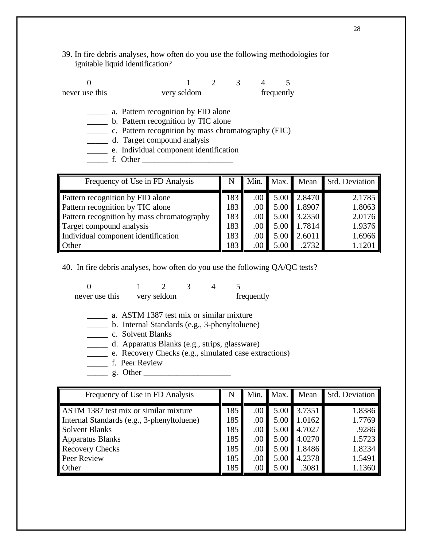39. In fire debris analyses, how often do you use the following methodologies for ignitable liquid identification?

| never use this |  |                                                     | very seldom |  |  | frequently |  |
|----------------|--|-----------------------------------------------------|-------------|--|--|------------|--|
|                |  |                                                     |             |  |  |            |  |
|                |  | a. Pattern recognition by FID alone                 |             |  |  |            |  |
|                |  | b. Pattern recognition by TIC alone                 |             |  |  |            |  |
|                |  | c. Pattern recognition by mass chromatography (EIC) |             |  |  |            |  |
|                |  | d. Target compound analysis                         |             |  |  |            |  |

- \_\_\_\_\_ e. Individual component identification
- $\frac{1}{\sqrt{1-\frac{1}{2}}}\int$  f. Other  $\frac{1}{\sqrt{1-\frac{1}{2}}}\int$

| Frequency of Use in FD Analysis            |     |         | Min. Max. | Mean        | Std. Deviation |
|--------------------------------------------|-----|---------|-----------|-------------|----------------|
| Pattern recognition by FID alone           | 183 | .00     |           | 5.00 2.8470 | 2.1785         |
| Pattern recognition by TIC alone           | 183 | $.00\,$ |           | 5.00 1.8907 | 1.8063         |
| Pattern recognition by mass chromatography | 183 | $.00\,$ |           | 5.00 3.2350 | 2.0176         |
| Target compound analysis                   | 183 | $.00\,$ |           | 5.00 1.7814 | 1.9376         |
| Individual component identification        | 183 | .00     | 5.00      | 2.6011      | 1.6966         |
| Other                                      | 183 | .00     | 5.00      | .2732       | 1.1201         |

40. In fire debris analyses, how often do you use the following QA/QC tests?

| never use this |                                          | very seldom |  | frequently                                            |
|----------------|------------------------------------------|-------------|--|-------------------------------------------------------|
|                | a. ASTM 1387 test mix or similar mixture |             |  |                                                       |
|                |                                          |             |  | b. Internal Standards (e.g., 3-phenyltoluene)         |
|                | c. Solvent Blanks                        |             |  |                                                       |
|                |                                          |             |  | d. Apparatus Blanks (e.g., strips, glassware)         |
|                |                                          |             |  | e. Recovery Checks (e.g., simulated case extractions) |
|                | f. Peer Review                           |             |  |                                                       |
| g.             | ther                                     |             |  |                                                       |

| Frequency of Use in FD Analysis            | N   |      | Min. Max. | Mean            | Std. Deviation |
|--------------------------------------------|-----|------|-----------|-----------------|----------------|
| ASTM 1387 test mix or similar mixture      | 185 | .00. |           | 5.00 3.7351     | 1.8386         |
| Internal Standards (e.g., 3-phenyltoluene) | 185 | .00. |           | $5.00$   1.0162 | 1.7769         |
| Solvent Blanks                             | 185 | .00. |           | 5.00 4.7027     | .9286          |
| <b>Apparatus Blanks</b>                    | 185 | .00. |           | 5.00 4.0270     | 1.5723         |
| <b>Recovery Checks</b>                     | 185 | .00  |           | 5.00 1.8486     | 1.8234         |
| Peer Review                                | 185 | .00  | 5.00      | 4.2378          | 1.5491         |
| <b>Other</b>                               | 185 | .00  | 5.00      | .3081           | 1.1360         |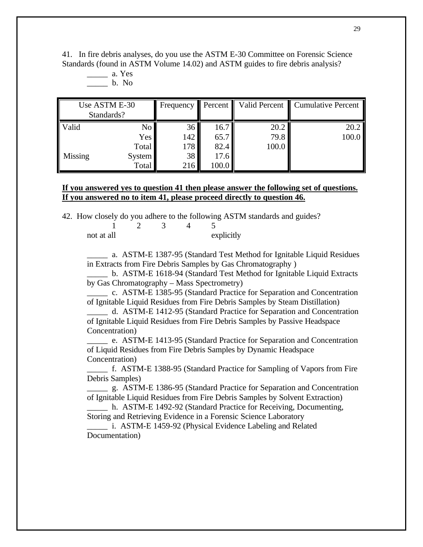41. In fire debris analyses, do you use the ASTM E-30 Committee on Forensic Science Standards (found in ASTM Volume 14.02) and ASTM guides to fire debris analysis?

 $\frac{a}{x}$  a. Yes \_\_\_\_\_ b. No

| Use ASTM E-30<br>Standards? |                 | <b>Frequency</b> | $\blacksquare$ Percent $\blacksquare$ | Valid Percent | Cumulative Percent |
|-----------------------------|-----------------|------------------|---------------------------------------|---------------|--------------------|
| Valid                       | No <sub>1</sub> | 36               | 16.7                                  | 20.2          | 20.2               |
|                             | Yes             | 142              | 65.7                                  | 79.8          | 100.0              |
|                             | Total           | 178              | 82.4                                  | 100.0         |                    |
| Missing                     | System          | 38               | 17.6                                  |               |                    |
|                             | Total           | 216              | 100.0                                 |               |                    |

#### **If you answered yes to question 41 then please answer the following set of questions. If you answered no to item 41, please proceed directly to question 46.**

42. How closely do you adhere to the following ASTM standards and guides?

1 2 3 4 5 not at all explicitly

\_\_\_\_\_ a. ASTM-E 1387-95 (Standard Test Method for Ignitable Liquid Residues in Extracts from Fire Debris Samples by Gas Chromatography )

\_\_\_\_\_ b. ASTM-E 1618-94 (Standard Test Method for Ignitable Liquid Extracts by Gas Chromatography – Mass Spectrometry)

\_\_\_\_\_ c. ASTM-E 1385-95 (Standard Practice for Separation and Concentration of Ignitable Liquid Residues from Fire Debris Samples by Steam Distillation)

\_\_\_\_\_ d. ASTM-E 1412-95 (Standard Practice for Separation and Concentration of Ignitable Liquid Residues from Fire Debris Samples by Passive Headspace Concentration)

\_\_\_\_\_ e. ASTM-E 1413-95 (Standard Practice for Separation and Concentration of Liquid Residues from Fire Debris Samples by Dynamic Headspace Concentration)

\_\_\_\_\_ f. ASTM-E 1388-95 (Standard Practice for Sampling of Vapors from Fire Debris Samples)

\_\_\_\_\_ g. ASTM-E 1386-95 (Standard Practice for Separation and Concentration of Ignitable Liquid Residues from Fire Debris Samples by Solvent Extraction)

\_\_\_\_\_ h. ASTM-E 1492-92 (Standard Practice for Receiving, Documenting, Storing and Retrieving Evidence in a Forensic Science Laboratory

\_\_\_\_\_ i. ASTM-E 1459-92 (Physical Evidence Labeling and Related Documentation)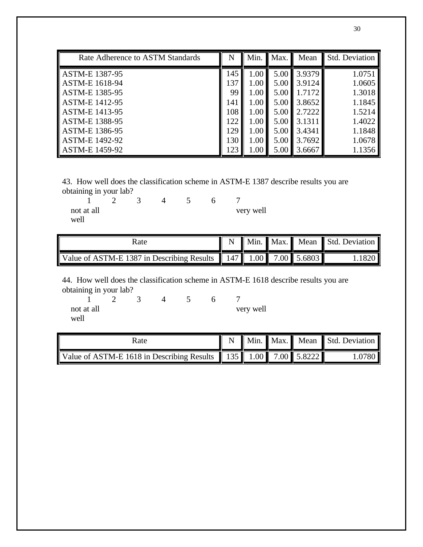| Rate Adherence to ASTM Standards | N   | Min.     | Max. | Mean   | Std. Deviation |
|----------------------------------|-----|----------|------|--------|----------------|
| <b>ASTM-E 1387-95</b>            | 145 | 1.00     | 5.00 | 3.9379 | 1.0751         |
| <b>ASTM-E 1618-94</b>            | 137 | 1.00     | 5.00 | 3.9124 | 1.0605         |
| <b>ASTM-E 1385-95</b>            | 99  | 1.00     | 5.00 | 1.7172 | 1.3018         |
| <b>ASTM-E 1412-95</b>            | 141 | 1.00     | 5.00 | 3.8652 | 1.1845         |
| <b>ASTM-E 1413-95</b>            | 108 | 1.00     | 5.00 | 2.7222 | 1.5214         |
| <b>ASTM-E 1388-95</b>            | 122 | 1.00     | 5.00 | 3.1311 | 1.4022         |
| ASTM-E 1386-95                   | 129 | 1.00     | 5.00 | 3.4341 | 1.1848         |
| <b>ASTM-E 1492-92</b>            | 130 | 1.00     | 5.00 | 3.7692 | 1.0678         |
| <b>ASTM-E 1459-92</b>            | 123 | $1.00\,$ | 5.00 | 3.6667 | 1.1356         |

43. How well does the classification scheme in ASTM-E 1387 describe results you are obtaining in your lab?

| not at all |  |  | very well |
|------------|--|--|-----------|
| well       |  |  |           |

| Rate                                                                                     | N |  | Min. Max. Mean Std. Deviation |
|------------------------------------------------------------------------------------------|---|--|-------------------------------|
| Value of ASTM-E 1387 in Describing Results $\ $ 147 $\ $ 1.00 $\ $ 7.00 $\ $ 5.6803 $\ $ |   |  | .1820                         |

44. How well does the classification scheme in ASTM-E 1618 describe results you are obtaining in your lab?

| not at all |  |  | very well |
|------------|--|--|-----------|
| well       |  |  |           |

| Rate                                                                                                                        |  |  | N   Min.   Max.   Mean   Std. Deviation |
|-----------------------------------------------------------------------------------------------------------------------------|--|--|-----------------------------------------|
| Value of ASTM-E 1618 in Describing Results $\parallel$ 135 $\parallel$ 1.00 $\parallel$ 7.00 $\parallel$ 5.8222 $\parallel$ |  |  | .0780 <sub>1</sub>                      |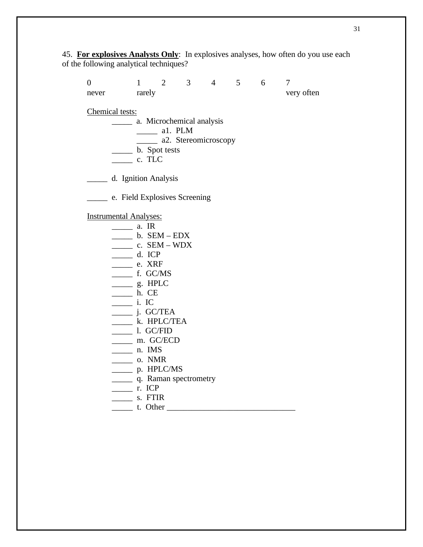45. **For explosives Analysts Only**: In explosives analyses, how often do you use each of the following analytical techniques?

0 1 2 3 4 5 6 7 never rarely very often Chemical tests: \_\_\_\_\_ a. Microchemical analysis \_\_\_\_\_ a1. PLM \_\_\_\_\_ a2. Stereomicroscopy \_\_\_\_\_\_\_ b. Spot tests  $\frac{\ }{\ }$  c. TLC \_\_\_\_\_ d. Ignition Analysis \_\_\_\_\_ e. Field Explosives Screening Instrumental Analyses: \_\_\_\_\_ a. IR  $\_\_\_\_$ b. SEM – EDX  $\frac{\cdot}{\cdot}$  c. SEM – WDX \_\_\_\_\_ d. ICP \_\_\_\_\_ e. XRF \_\_\_\_\_ f. GC/MS  $\_\_\_\$ g. HPLC \_\_\_\_\_ h. CE \_\_\_\_\_ i. IC \_\_\_\_\_ j. GC/TEA \_\_\_\_\_ k. HPLC/TEA \_\_\_\_\_ l. GC/FID \_\_\_\_\_ m. GC/ECD \_\_\_\_\_ n. IMS \_\_\_\_\_ o. NMR \_\_\_\_\_\_\_ p. HPLC/MS \_\_\_\_\_ q. Raman spectrometry  $r.$  ICP \_\_\_\_\_ s. FTIR \_\_\_\_\_ t. Other \_\_\_\_\_\_\_\_\_\_\_\_\_\_\_\_\_\_\_\_\_\_\_\_\_\_\_\_\_\_\_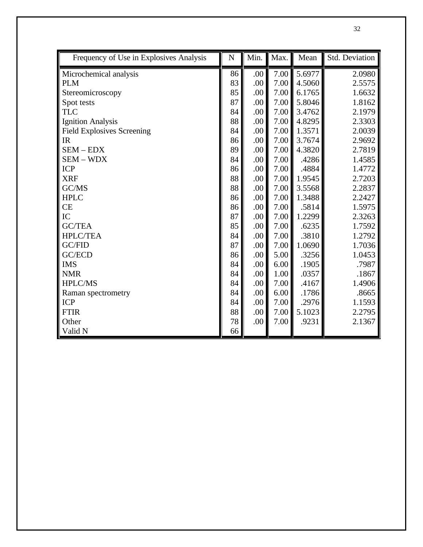| Frequency of Use in Explosives Analysis | $\mathbf N$ | Min. | Max. | Mean   | Std. Deviation |
|-----------------------------------------|-------------|------|------|--------|----------------|
| Microchemical analysis                  | 86          | .00  | 7.00 | 5.6977 | 2.0980         |
| <b>PLM</b>                              | 83          | .00  | 7.00 | 4.5060 | 2.5575         |
| Stereomicroscopy                        | 85          | .00  | 7.00 | 6.1765 | 1.6632         |
| Spot tests                              | 87          | .00  | 7.00 | 5.8046 | 1.8162         |
| <b>TLC</b>                              | 84          | .00  | 7.00 | 3.4762 | 2.1979         |
| <b>Ignition Analysis</b>                | 88          | .00  | 7.00 | 4.8295 | 2.3303         |
| <b>Field Explosives Screening</b>       | 84          | .00  | 7.00 | 1.3571 | 2.0039         |
| IR                                      | 86          | .00  | 7.00 | 3.7674 | 2.9692         |
| $SEM - EDX$                             | 89          | .00  | 7.00 | 4.3820 | 2.7819         |
| $SEM - WDX$                             | 84          | .00  | 7.00 | .4286  | 1.4585         |
| <b>ICP</b>                              | 86          | .00  | 7.00 | .4884  | 1.4772         |
| <b>XRF</b>                              | 88          | .00  | 7.00 | 1.9545 | 2.7203         |
| GC/MS                                   | 88          | .00  | 7.00 | 3.5568 | 2.2837         |
| <b>HPLC</b>                             | 86          | .00  | 7.00 | 1.3488 | 2.2427         |
| <b>CE</b>                               | 86          | .00  | 7.00 | .5814  | 1.5975         |
| IC                                      | 87          | .00  | 7.00 | 1.2299 | 2.3263         |
| <b>GC/TEA</b>                           | 85          | .00  | 7.00 | .6235  | 1.7592         |
| <b>HPLC/TEA</b>                         | 84          | .00  | 7.00 | .3810  | 1.2792         |
| GC/FID                                  | 87          | .00  | 7.00 | 1.0690 | 1.7036         |
| GC/ECD                                  | 86          | .00  | 5.00 | .3256  | 1.0453         |
| <b>IMS</b>                              | 84          | .00  | 6.00 | .1905  | .7987          |
| <b>NMR</b>                              | 84          | .00  | 1.00 | .0357  | .1867          |
| HPLC/MS                                 | 84          | .00  | 7.00 | .4167  | 1.4906         |
| Raman spectrometry                      | 84          | .00  | 6.00 | .1786  | .8665          |
| <b>ICP</b>                              | 84          | .00  | 7.00 | .2976  | 1.1593         |
| <b>FTIR</b>                             | 88          | .00  | 7.00 | 5.1023 | 2.2795         |
| Other                                   | 78          | .00  | 7.00 | .9231  | 2.1367         |
| Valid N                                 | 66          |      |      |        |                |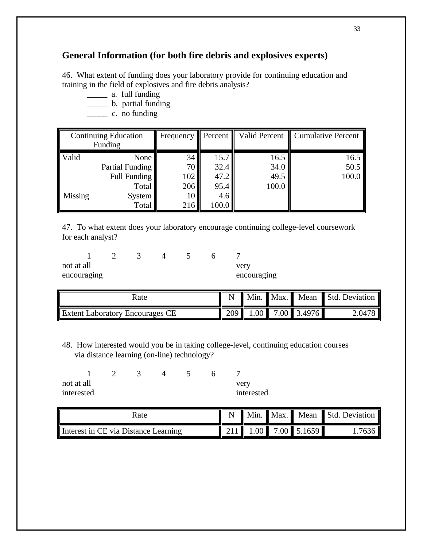### **General Information (for both fire debris and explosives experts)**

46. What extent of funding does your laboratory provide for continuing education and training in the field of explosives and fire debris analysis?

- \_\_\_\_\_ a. full funding
- \_\_\_\_\_ b. partial funding
- \_\_\_\_\_ c. no funding

| <b>Continuing Education</b><br>Funding |                 | Frequency |       | Percent   Valid Percent | <b>Cumulative Percent</b> |
|----------------------------------------|-----------------|-----------|-------|-------------------------|---------------------------|
|                                        |                 |           |       |                         |                           |
| Valid                                  | None            | 34        | 15.7  | 16.5                    | 16.5                      |
|                                        | Partial Funding | 70        | 32.4  | 34.0                    | 50.5                      |
|                                        | Full Funding    | 102       | 47.2  | 49.5                    | 100.0                     |
|                                        | Total           | 206       | 95.4  | 100.0                   |                           |
| Missing                                | System          | 10        | 4.6   |                         |                           |
|                                        | Total           | 216       | 100.0 |                         |                           |

47. To what extent does your laboratory encourage continuing college-level coursework for each analyst?

| not at all  |  |  | very        |
|-------------|--|--|-------------|
| encouraging |  |  | encouraging |

| Rate                                   |  |                                                                      | Min. Max. Mean Std. Deviation |
|----------------------------------------|--|----------------------------------------------------------------------|-------------------------------|
| <b>Extent Laboratory Encourages CE</b> |  | $\parallel$ 209 $\parallel$ 1.00 $\parallel$ 7.00 $\parallel$ 3.4976 | 2.0478                        |

48. How interested would you be in taking college-level, continuing education courses via distance learning (on-line) technology?

1 2 3 4 5 6 7 not at all very

interested interested

| Rate                                 |  |                      | Min. Max. Mean Std. Deviation |
|--------------------------------------|--|----------------------|-------------------------------|
| Interest in CE via Distance Learning |  | 211 1.00 7.00 5.1659 | .7636                         |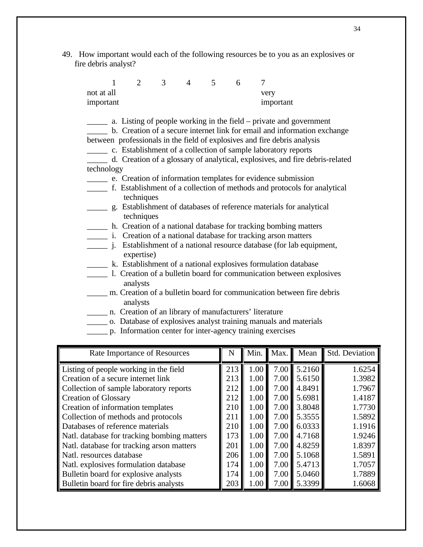49. How important would each of the following resources be to you as an explosives or fire debris analyst?

| 1                                                      | $\overline{2}$ | $\overline{3}$ | $\overline{4}$ | 5 <sup>7</sup> | 6 | 7                                                                            |
|--------------------------------------------------------|----------------|----------------|----------------|----------------|---|------------------------------------------------------------------------------|
| not at all                                             |                |                |                |                |   | very                                                                         |
| important                                              |                |                |                |                |   | important                                                                    |
|                                                        |                |                |                |                |   |                                                                              |
|                                                        |                |                |                |                |   | a. Listing of people working in the field – private and government           |
|                                                        |                |                |                |                |   | b. Creation of a secure internet link for email and information exchange     |
|                                                        |                |                |                |                |   | between professionals in the field of explosives and fire debris analysis    |
|                                                        |                |                |                |                |   | _________ c. Establishment of a collection of sample laboratory reports      |
|                                                        |                |                |                |                |   | d. Creation of a glossary of analytical, explosives, and fire debris-related |
| technology                                             |                |                |                |                |   |                                                                              |
|                                                        |                |                |                |                |   | e. Creation of information templates for evidence submission                 |
|                                                        | techniques     |                |                |                |   |                                                                              |
|                                                        |                |                |                |                |   |                                                                              |
|                                                        | techniques     |                |                |                |   | g. Establishment of databases of reference materials for analytical          |
|                                                        |                |                |                |                |   | h. Creation of a national database for tracking bombing matters              |
|                                                        |                |                |                |                |   | _________ i. Creation of a national database for tracking arson matters      |
|                                                        |                |                |                |                |   | <i>j.</i> Establishment of a national resource database (for lab equipment,  |
|                                                        | expertise)     |                |                |                |   |                                                                              |
|                                                        |                |                |                |                |   | ________ k. Establishment of a national explosives formulation database      |
|                                                        |                |                |                |                |   | 1. Creation of a bulletin board for communication between explosives         |
|                                                        | analysts       |                |                |                |   |                                                                              |
|                                                        |                |                |                |                |   | m. Creation of a bulletin board for communication between fire debris        |
|                                                        | analysts       |                |                |                |   |                                                                              |
| n. Creation of an library of manufacturers' literature |                |                |                |                |   |                                                                              |
|                                                        |                |                |                |                |   | o. Database of explosives analyst training manuals and materials             |

\_\_\_\_\_ p. Information center for inter-agency training exercises

| Rate Importance of Resources                | N   | Min. | Max. | Mean   | Std. Deviation |
|---------------------------------------------|-----|------|------|--------|----------------|
| Listing of people working in the field      | 213 | 1.00 | 7.00 | 5.2160 | 1.6254         |
| Creation of a secure internet link          | 213 | 1.00 | 7.00 | 5.6150 | 1.3982         |
| Collection of sample laboratory reports     | 212 | 1.00 | 7.00 | 4.8491 | 1.7967         |
| <b>Creation of Glossary</b>                 | 212 | 1.00 | 7.00 | 5.6981 | 1.4187         |
| Creation of information templates           | 210 | 1.00 | 7.00 | 3.8048 | 1.7730         |
| Collection of methods and protocols         | 211 | 1.00 | 7.00 | 5.3555 | 1.5892         |
| Databases of reference materials            | 210 | 1.00 | 7.00 | 6.0333 | 1.1916         |
| Natl. database for tracking bombing matters | 173 | 1.00 | 7.00 | 4.7168 | 1.9246         |
| Natl. database for tracking arson matters   | 201 | 1.00 | 7.00 | 4.8259 | 1.8397         |
| Natl. resources database                    | 206 | 1.00 | 7.00 | 5.1068 | 1.5891         |
| Natl. explosives formulation database       | 174 | 1.00 | 7.00 | 5.4713 | 1.7057         |
| Bulletin board for explosive analysts       | 174 | 1.00 | 7.00 | 5.0460 | 1.7889         |
| Bulletin board for fire debris analysts     | 203 | 1.00 | 7.00 | 5.3399 | 1.6068         |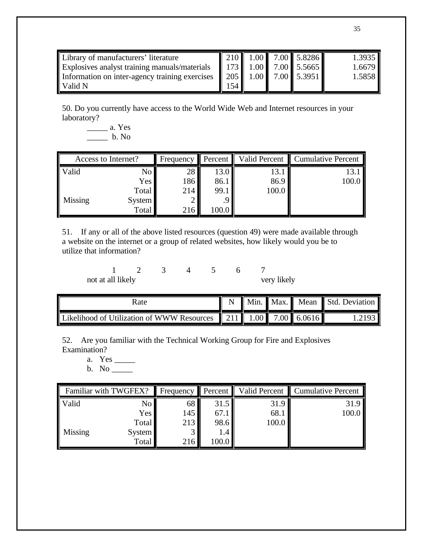| Library of manufacturers' literature                                |     |  | 210   1.00   7.00   5.8286 | 1.3935 |
|---------------------------------------------------------------------|-----|--|----------------------------|--------|
| Explosives analyst training manuals/materials 173 1.00 7.00 5.5665  |     |  |                            | 1.6679 |
| Information on inter-agency training exercises 205 1.00 7.00 5.3951 |     |  |                            | 1.5858 |
| Valid N                                                             | 154 |  |                            |        |

50. Do you currently have access to the World Wide Web and Internet resources in your laboratory?

\_\_\_\_\_ a. Yes  $\frac{1}{2}$  b. No

| Access to Internet? |               | Frequency | <b>Percent</b> | Valid Percent | <b>Cumulative Percent</b> |
|---------------------|---------------|-----------|----------------|---------------|---------------------------|
| <b>Valid</b>        | No            | 28        | 13.0           | 13.1          |                           |
|                     | Yes           | 186       | 86.1           | 86.9          | 100.0                     |
|                     | Total         | 214       | 99.1           | 100.0         |                           |
| Missing             | <b>System</b> |           |                |               |                           |
|                     | Total         | 216       | 100.0          |               |                           |

51. If any or all of the above listed resources (question 49) were made available through a website on the internet or a group of related websites, how likely would you be to utilize that information?

1 2 3 4 5 6 7<br>Il likely very likely very likely not at all likely

| Rate                                                            |  |  | Min. Max. Mean Std. Deviation |
|-----------------------------------------------------------------|--|--|-------------------------------|
| Likelihood of Utilization of WWW Resources 211 1.00 7.00 6.0616 |  |  | 1.2193                        |

52. Are you familiar with the Technical Working Group for Fire and Explosives Examination?

- a. Yes \_\_\_\_\_
- b. No \_\_\_\_\_

| Familiar with TWGFEX? |               | Frequency | Percent | Valid Percent | <b>Cumulative Percent</b> |
|-----------------------|---------------|-----------|---------|---------------|---------------------------|
| Valid                 | No            | 68        | 31.5    | 31.9          | 31.9                      |
|                       | Yes           | 145       | 67.1    | 68.1          | 100.0                     |
|                       | Total         | 213       | 98.6    | 100.0         |                           |
| Missing               | <b>System</b> |           | 1.4     |               |                           |
|                       | Total         | 216       | 100.0   |               |                           |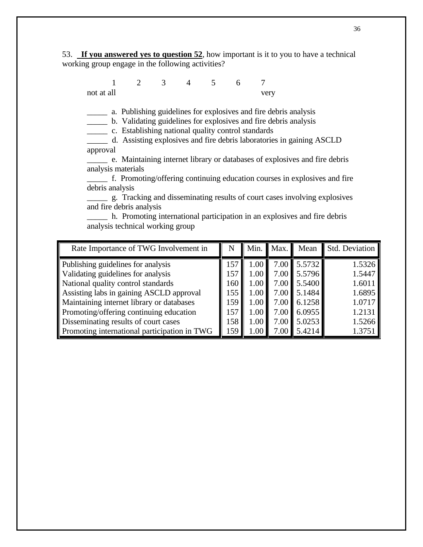53. **If you answered yes to question 52**, how important is it to you to have a technical working group engage in the following activities?

1 2 3 4 5 6 7 not at all very

\_\_\_\_\_ a. Publishing guidelines for explosives and fire debris analysis

\_\_\_\_\_ b. Validating guidelines for explosives and fire debris analysis

\_\_\_\_\_ c. Establishing national quality control standards

\_\_\_\_\_ d. Assisting explosives and fire debris laboratories in gaining ASCLD approval

\_\_\_\_\_ e. Maintaining internet library or databases of explosives and fire debris analysis materials

\_\_\_\_\_ f. Promoting/offering continuing education courses in explosives and fire debris analysis

\_\_\_\_\_ g. Tracking and disseminating results of court cases involving explosives and fire debris analysis

\_\_\_\_\_ h. Promoting international participation in an explosives and fire debris analysis technical working group

| Rate Importance of TWG Involvement in        |     | Min.     | Max. | Mean   | <b>Std. Deviation</b> |
|----------------------------------------------|-----|----------|------|--------|-----------------------|
| Publishing guidelines for analysis           | 157 | 1.00     | 7.00 | 5.5732 | 1.5326                |
| Validating guidelines for analysis           | 157 | 1.00     | 7.00 | 5.5796 | 1.5447                |
| National quality control standards           | 160 | 1.00     | 7.00 | 5.5400 | 1.6011                |
| Assisting labs in gaining ASCLD approval     | 155 | 1.00     | 7.00 | 5.1484 | 1.6895                |
| Maintaining internet library or databases    | 159 | 1.00     | 7.00 | 6.1258 | 1.0717                |
| Promoting/offering continuing education      | 157 | 1.00     | 7.00 | 6.0955 | 1.2131                |
| Disseminating results of court cases         | 158 | 1.00     | 7.00 | 5.0253 | 1.5266                |
| Promoting international participation in TWG | 159 | $1.00\,$ | 7.00 | 5.4214 | 1.3751                |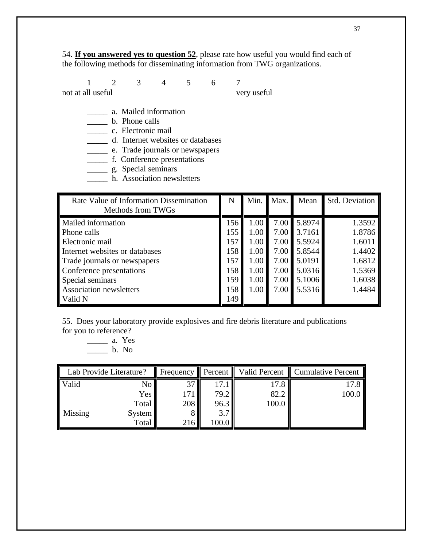54. **If you answered yes to question 52**, please rate how useful you would find each of the following methods for disseminating information from TWG organizations.

1 2 3 4 5 6 7 not at all useful very useful

- \_\_\_\_\_ a. Mailed information
- \_\_\_\_\_ b. Phone calls
- \_\_\_\_\_ c. Electronic mail
- \_\_\_\_\_ d. Internet websites or databases
- \_\_\_\_\_ e. Trade journals or newspapers
- \_\_\_\_\_ f. Conference presentations
- g. Special seminars
- \_\_\_\_\_ h. Association newsletters

| Rate Value of Information Dissemination | N   | Min. | Max. | Mean   | Std. Deviation |
|-----------------------------------------|-----|------|------|--------|----------------|
| Methods from TWGs                       |     |      |      |        |                |
| <b>Mailed</b> information               | 156 | 1.00 | 7.00 | 5.8974 | 1.3592         |
| Phone calls                             | 155 | 1.00 | 7.00 | 3.7161 | 1.8786         |
| Electronic mail                         | 157 | 1.00 | 7.00 | 5.5924 | 1.6011         |
| Internet websites or databases          | 158 | 1.00 | 7.00 | 5.8544 | 1.4402         |
| Trade journals or newspapers            | 157 | 1.00 | 7.00 | 5.0191 | 1.6812         |
| Conference presentations                | 158 | 1.00 | 7.00 | 5.0316 | 1.5369         |
| Special seminars                        | 159 | 1.00 | 7.00 | 5.1006 | 1.6038         |
| Association newsletters                 | 158 | 1.00 | 7.00 | 5.5316 | 1.4484         |
| Valid N                                 | 149 |      |      |        |                |

55. Does your laboratory provide explosives and fire debris literature and publications for you to reference?

#### \_\_\_\_\_ a. Yes  $\qquad \qquad$  b. No

| Lab Provide Literature? |        | <b>Frequency</b> | Percent | Valid Percent | <b>Cumulative Percent</b> |
|-------------------------|--------|------------------|---------|---------------|---------------------------|
| Valid                   | No     | 37               | 17.1    | 17.8          | 17.8                      |
|                         | Yes    | 171              | 79.2    | 82.2          | 100.0                     |
|                         | Total  | 208              | 96.3    | 100.0         |                           |
| <b>Missing</b>          | System |                  | 3.7     |               |                           |
|                         | Total  | 216              | 100.0   |               |                           |